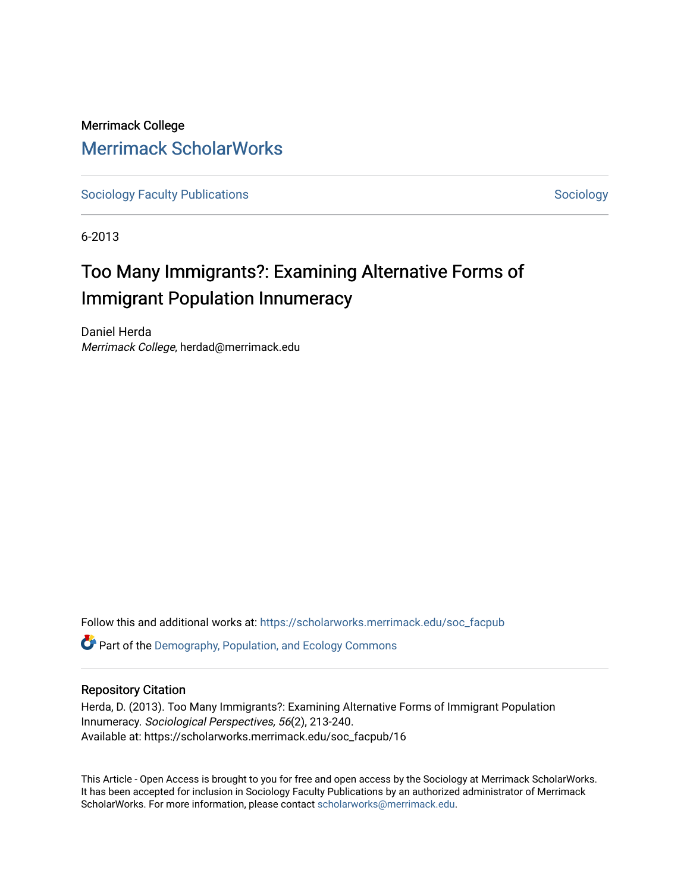# Merrimack College [Merrimack ScholarWorks](https://scholarworks.merrimack.edu/)

[Sociology Faculty Publications](https://scholarworks.merrimack.edu/soc_facpub) and [Sociology](https://scholarworks.merrimack.edu/soc) Sociology Sociology

6-2013

# Too Many Immigrants?: Examining Alternative Forms of Immigrant Population Innumeracy

Daniel Herda Merrimack College, herdad@merrimack.edu

Follow this and additional works at: [https://scholarworks.merrimack.edu/soc\\_facpub](https://scholarworks.merrimack.edu/soc_facpub?utm_source=scholarworks.merrimack.edu%2Fsoc_facpub%2F16&utm_medium=PDF&utm_campaign=PDFCoverPages) 

**C** Part of the Demography, Population, and Ecology Commons

# Repository Citation

Herda, D. (2013). Too Many Immigrants?: Examining Alternative Forms of Immigrant Population Innumeracy. Sociological Perspectives, 56(2), 213-240. Available at: https://scholarworks.merrimack.edu/soc\_facpub/16

This Article - Open Access is brought to you for free and open access by the Sociology at Merrimack ScholarWorks. It has been accepted for inclusion in Sociology Faculty Publications by an authorized administrator of Merrimack ScholarWorks. For more information, please contact [scholarworks@merrimack.edu.](mailto:scholarworks@merrimack.edu)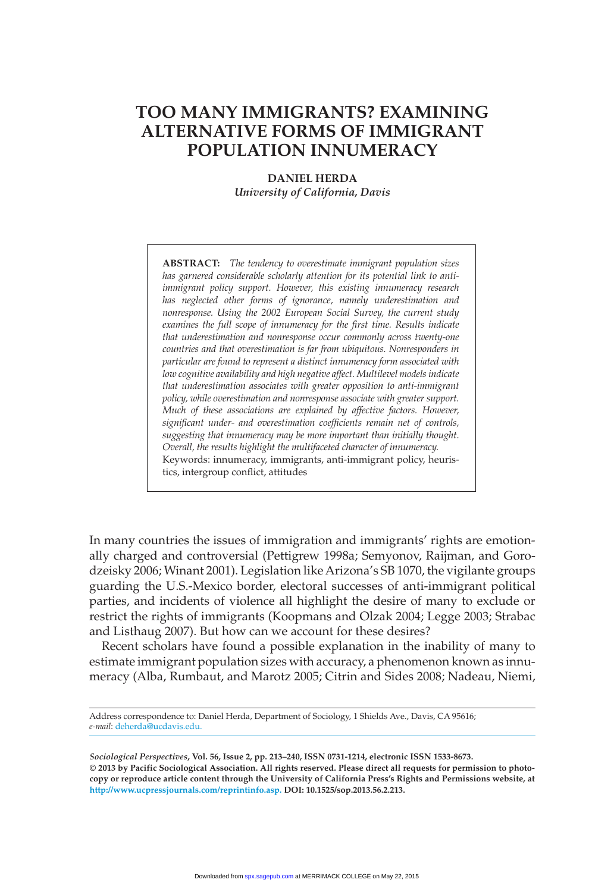# **TOO MANY IMMIGRANTS? EXAMINING ALTERNATIVE FORMS OF IMMIGRANT POPULATION INNUMERACY**

**DANIEL HERDA** *University of California, Davis*

**ABSTRACT:** *The tendency to overestimate immigrant population sizes has garnered considerable scholarly attention for its potential link to antiimmigrant policy support. However, this existing innumeracy research has neglected other forms of ignorance, namely underestimation and nonresponse. Using the 2002 European Social Survey, the current study examines the full scope of innumeracy for the first time. Results indicate that underestimation and nonresponse occur commonly across twenty-one countries and that overestimation is far from ubiquitous. Nonresponders in particular are found to represent a distinct innumeracy form associated with low cognitive availability and high negative affect. Multilevel models indicate that underestimation associates with greater opposition to anti-immigrant policy, while overestimation and nonresponse associate with greater support. Much of these associations are explained by affective factors. However, significant under- and overestimation coefficients remain net of controls, suggesting that innumeracy may be more important than initially thought. Overall, the results highlight the multifaceted character of innumeracy.* Keywords: innumeracy, immigrants, anti-immigrant policy, heuristics, intergroup conflict, attitudes

In many countries the issues of immigration and immigrants' rights are emotionally charged and controversial (Pettigrew 1998a; Semyonov, Raijman, and Gorodzeisky 2006; Winant 2001). Legislation like Arizona's SB 1070, the vigilante groups guarding the U.S.-Mexico border, electoral successes of anti-immigrant political parties, and incidents of violence all highlight the desire of many to exclude or restrict the rights of immigrants (Koopmans and Olzak 2004; Legge 2003; Strabac and Listhaug 2007). But how can we account for these desires?

Recent scholars have found a possible explanation in the inability of many to estimate immigrant population sizes with accuracy, a phenomenon known as innumeracy (Alba, Rumbaut, and Marotz 2005; Citrin and Sides 2008; Nadeau, Niemi,

Address correspondence to: Daniel Herda, Department of Sociology, 1 Shields Ave., Davis, CA 95616; *e-mail*: [deherda@ucdavis.edu.](mailto:deherda%40ucdavis.edu?subject=)

*Sociological Perspectives***, Vol. 56, Issue 2, pp. 213–240, ISSN 0731-1214, electronic ISSN 1533-8673. © 2013 by Pacific Sociological Association. All rights reserved. Please direct all requests for permission to photocopy or reproduce article content through the University of California Press's Rights and Permissions website, at http://www.ucpressjournals.com/reprintinfo.asp. DOI: 10.1525/sop.2013.56.2.213.**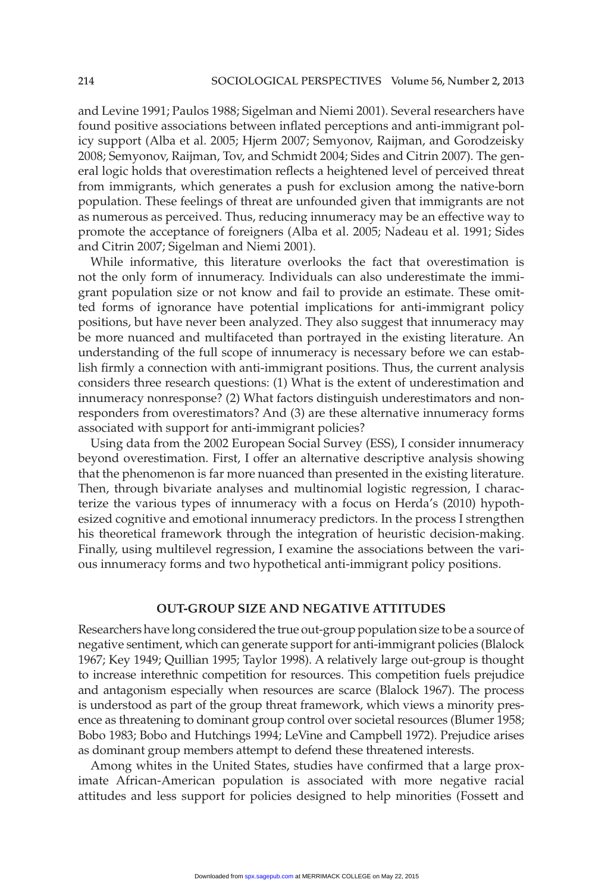and Levine 1991; Paulos 1988; Sigelman and Niemi 2001). Several researchers have found positive associations between inflated perceptions and anti-immigrant policy support (Alba et al. 2005; Hjerm 2007; Semyonov, Raijman, and Gorodzeisky 2008; Semyonov, Raijman, Tov, and Schmidt 2004; Sides and Citrin 2007). The general logic holds that overestimation reflects a heightened level of perceived threat from immigrants, which generates a push for exclusion among the native-born population. These feelings of threat are unfounded given that immigrants are not as numerous as perceived. Thus, reducing innumeracy may be an effective way to promote the acceptance of foreigners (Alba et al. 2005; Nadeau et al. 1991; Sides and Citrin 2007; Sigelman and Niemi 2001).

While informative, this literature overlooks the fact that overestimation is not the only form of innumeracy. Individuals can also underestimate the immigrant population size or not know and fail to provide an estimate. These omitted forms of ignorance have potential implications for anti-immigrant policy positions, but have never been analyzed. They also suggest that innumeracy may be more nuanced and multifaceted than portrayed in the existing literature. An understanding of the full scope of innumeracy is necessary before we can establish firmly a connection with anti-immigrant positions. Thus, the current analysis considers three research questions: (1) What is the extent of underestimation and innumeracy nonresponse? (2) What factors distinguish underestimators and nonresponders from overestimators? And (3) are these alternative innumeracy forms associated with support for anti-immigrant policies?

Using data from the 2002 European Social Survey (ESS), I consider innumeracy beyond overestimation. First, I offer an alternative descriptive analysis showing that the phenomenon is far more nuanced than presented in the existing literature. Then, through bivariate analyses and multinomial logistic regression, I characterize the various types of innumeracy with a focus on Herda's (2010) hypothesized cognitive and emotional innumeracy predictors. In the process I strengthen his theoretical framework through the integration of heuristic decision-making. Finally, using multilevel regression, I examine the associations between the various innumeracy forms and two hypothetical anti-immigrant policy positions.

#### **OUT-GROUP SIZE AND NEGATIVE ATTITUDES**

Researchers have long considered the true out-group population size to be a source of negative sentiment, which can generate support for anti-immigrant policies (Blalock 1967; Key 1949; Quillian 1995; Taylor 1998). A relatively large out-group is thought to increase interethnic competition for resources. This competition fuels prejudice and antagonism especially when resources are scarce (Blalock 1967). The process is understood as part of the group threat framework, which views a minority presence as threatening to dominant group control over societal resources (Blumer 1958; Bobo 1983; Bobo and Hutchings 1994; LeVine and Campbell 1972). Prejudice arises as dominant group members attempt to defend these threatened interests.

Among whites in the United States, studies have confirmed that a large proximate African-American population is associated with more negative racial attitudes and less support for policies designed to help minorities (Fossett and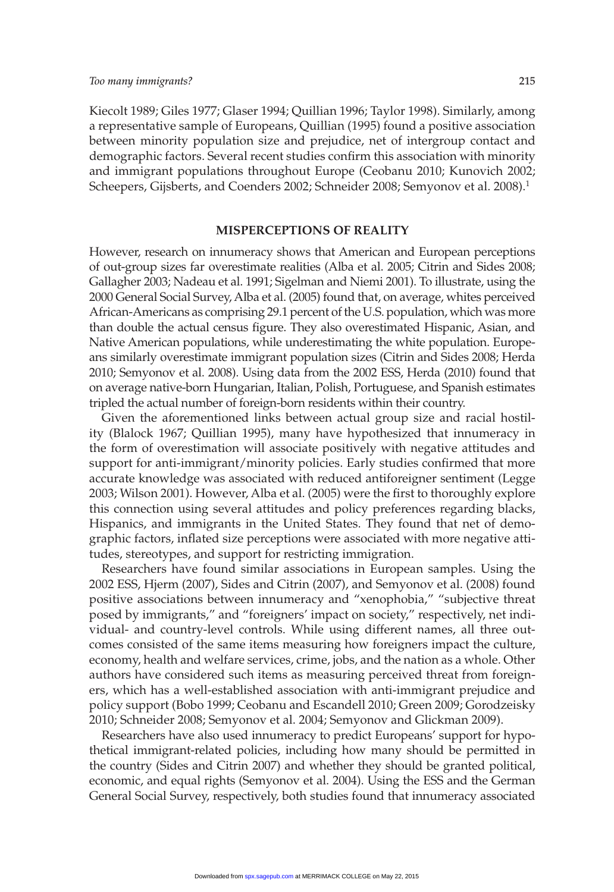Kiecolt 1989; Giles 1977; Glaser 1994; Quillian 1996; Taylor 1998). Similarly, among a representative sample of Europeans, Quillian (1995) found a positive association between minority population size and prejudice, net of intergroup contact and demographic factors. Several recent studies confirm this association with minority and immigrant populations throughout Europe (Ceobanu 2010; Kunovich 2002; Scheepers, Gijsberts, and Coenders 2002; Schneider 2008; Semyonov et al. 2008).<sup>1</sup>

#### **MISPERCEPTIONS OF REALITY**

However, research on innumeracy shows that American and European perceptions of out-group sizes far overestimate realities (Alba et al. 2005; Citrin and Sides 2008; Gallagher 2003; Nadeau et al. 1991; Sigelman and Niemi 2001). To illustrate, using the 2000 General Social Survey, Alba et al. (2005) found that, on average, whites perceived African-Americans as comprising 29.1 percent of the U.S. population, which was more than double the actual census figure. They also overestimated Hispanic, Asian, and Native American populations, while underestimating the white population. Europeans similarly overestimate immigrant population sizes (Citrin and Sides 2008; Herda 2010; Semyonov et al. 2008). Using data from the 2002 ESS, Herda (2010) found that on average native-born Hungarian, Italian, Polish, Portuguese, and Spanish estimates tripled the actual number of foreign-born residents within their country.

Given the aforementioned links between actual group size and racial hostility (Blalock 1967; Quillian 1995), many have hypothesized that innumeracy in the form of overestimation will associate positively with negative attitudes and support for anti-immigrant/minority policies. Early studies confirmed that more accurate knowledge was associated with reduced antiforeigner sentiment (Legge 2003; Wilson 2001). However, Alba et al. (2005) were the first to thoroughly explore this connection using several attitudes and policy preferences regarding blacks, Hispanics, and immigrants in the United States. They found that net of demographic factors, inflated size perceptions were associated with more negative attitudes, stereotypes, and support for restricting immigration.

Researchers have found similar associations in European samples. Using the 2002 ESS, Hjerm (2007), Sides and Citrin (2007), and Semyonov et al. (2008) found positive associations between innumeracy and "xenophobia," "subjective threat posed by immigrants," and "foreigners' impact on society," respectively, net individual- and country-level controls. While using different names, all three outcomes consisted of the same items measuring how foreigners impact the culture, economy, health and welfare services, crime, jobs, and the nation as a whole. Other authors have considered such items as measuring perceived threat from foreigners, which has a well-established association with anti-immigrant prejudice and policy support (Bobo 1999; Ceobanu and Escandell 2010; Green 2009; Gorodzeisky 2010; Schneider 2008; Semyonov et al. 2004; Semyonov and Glickman 2009).

Researchers have also used innumeracy to predict Europeans' support for hypothetical immigrant-related policies, including how many should be permitted in the country (Sides and Citrin 2007) and whether they should be granted political, economic, and equal rights (Semyonov et al. 2004). Using the ESS and the German General Social Survey, respectively, both studies found that innumeracy associated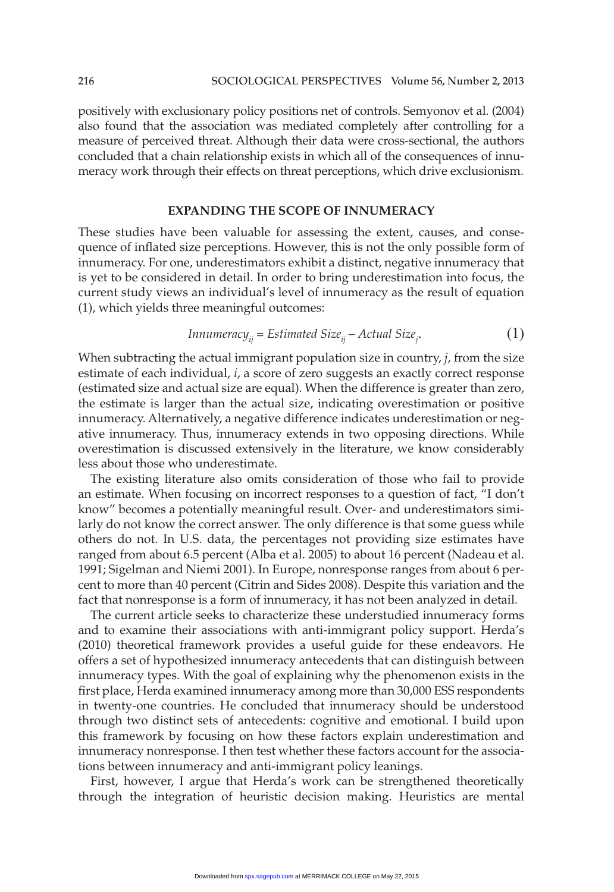positively with exclusionary policy positions net of controls. Semyonov et al. (2004) also found that the association was mediated completely after controlling for a measure of perceived threat. Although their data were cross-sectional, the authors concluded that a chain relationship exists in which all of the consequences of innumeracy work through their effects on threat perceptions, which drive exclusionism.

#### **EXPANDING THE SCOPE OF INNUMERACY**

These studies have been valuable for assessing the extent, causes, and consequence of inflated size perceptions. However, this is not the only possible form of innumeracy. For one, underestimators exhibit a distinct, negative innumeracy that is yet to be considered in detail. In order to bring underestimation into focus, the current study views an individual's level of innumeracy as the result of equation (1), which yields three meaningful outcomes:

$$
Innumeracy_{ij} = Estimated Size_{ij} - Actual Size_{j}.
$$
 (1)

When subtracting the actual immigrant population size in country, *j*, from the size estimate of each individual, *i*, a score of zero suggests an exactly correct response (estimated size and actual size are equal). When the difference is greater than zero, the estimate is larger than the actual size, indicating overestimation or positive innumeracy. Alternatively, a negative difference indicates underestimation or negative innumeracy. Thus, innumeracy extends in two opposing directions. While overestimation is discussed extensively in the literature, we know considerably less about those who underestimate.

The existing literature also omits consideration of those who fail to provide an estimate. When focusing on incorrect responses to a question of fact, "I don't know" becomes a potentially meaningful result. Over- and underestimators similarly do not know the correct answer. The only difference is that some guess while others do not. In U.S. data, the percentages not providing size estimates have ranged from about 6.5 percent (Alba et al. 2005) to about 16 percent (Nadeau et al. 1991; Sigelman and Niemi 2001). In Europe, nonresponse ranges from about 6 percent to more than 40 percent (Citrin and Sides 2008). Despite this variation and the fact that nonresponse is a form of innumeracy, it has not been analyzed in detail.

The current article seeks to characterize these understudied innumeracy forms and to examine their associations with anti-immigrant policy support. Herda's (2010) theoretical framework provides a useful guide for these endeavors. He offers a set of hypothesized innumeracy antecedents that can distinguish between innumeracy types. With the goal of explaining why the phenomenon exists in the first place, Herda examined innumeracy among more than 30,000 ESS respondents in twenty-one countries. He concluded that innumeracy should be understood through two distinct sets of antecedents: cognitive and emotional. I build upon this framework by focusing on how these factors explain underestimation and innumeracy nonresponse. I then test whether these factors account for the associations between innumeracy and anti-immigrant policy leanings.

First, however, I argue that Herda's work can be strengthened theoretically through the integration of heuristic decision making. Heuristics are mental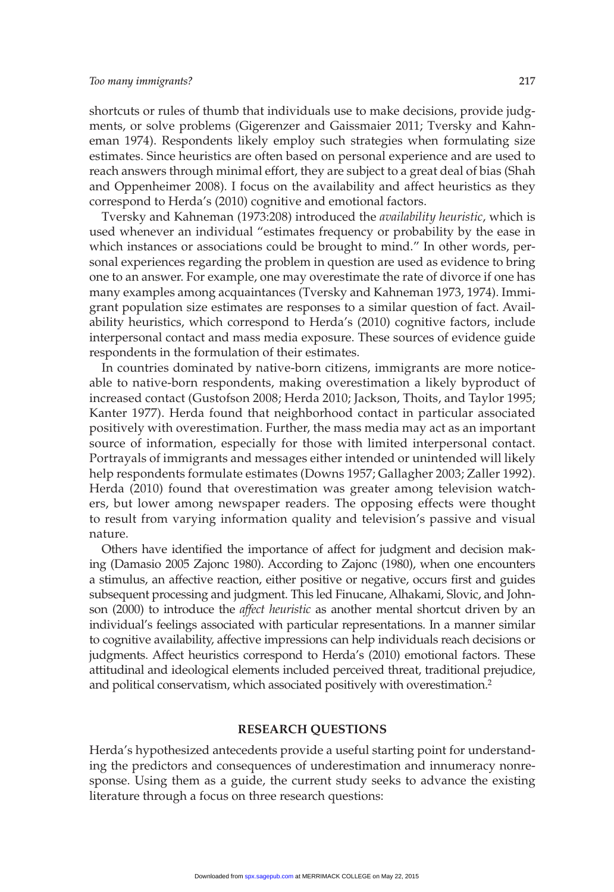shortcuts or rules of thumb that individuals use to make decisions, provide judgments, or solve problems (Gigerenzer and Gaissmaier 2011; Tversky and Kahneman 1974). Respondents likely employ such strategies when formulating size estimates. Since heuristics are often based on personal experience and are used to reach answers through minimal effort, they are subject to a great deal of bias (Shah and Oppenheimer 2008). I focus on the availability and affect heuristics as they correspond to Herda's (2010) cognitive and emotional factors.

Tversky and Kahneman (1973:208) introduced the *availability heuristic*, which is used whenever an individual "estimates frequency or probability by the ease in which instances or associations could be brought to mind." In other words, personal experiences regarding the problem in question are used as evidence to bring one to an answer. For example, one may overestimate the rate of divorce if one has many examples among acquaintances (Tversky and Kahneman 1973, 1974). Immigrant population size estimates are responses to a similar question of fact. Availability heuristics, which correspond to Herda's (2010) cognitive factors, include interpersonal contact and mass media exposure. These sources of evidence guide respondents in the formulation of their estimates.

In countries dominated by native-born citizens, immigrants are more noticeable to native-born respondents, making overestimation a likely byproduct of increased contact (Gustofson 2008; Herda 2010; Jackson, Thoits, and Taylor 1995; Kanter 1977). Herda found that neighborhood contact in particular associated positively with overestimation. Further, the mass media may act as an important source of information, especially for those with limited interpersonal contact. Portrayals of immigrants and messages either intended or unintended will likely help respondents formulate estimates (Downs 1957; Gallagher 2003; Zaller 1992). Herda (2010) found that overestimation was greater among television watchers, but lower among newspaper readers. The opposing effects were thought to result from varying information quality and television's passive and visual nature.

Others have identified the importance of affect for judgment and decision making (Damasio 2005 Zajonc 1980). According to Zajonc (1980), when one encounters a stimulus, an affective reaction, either positive or negative, occurs first and guides subsequent processing and judgment. This led Finucane, Alhakami, Slovic, and Johnson (2000) to introduce the *affect heuristic* as another mental shortcut driven by an individual's feelings associated with particular representations. In a manner similar to cognitive availability, affective impressions can help individuals reach decisions or judgments. Affect heuristics correspond to Herda's (2010) emotional factors. These attitudinal and ideological elements included perceived threat, traditional prejudice, and political conservatism, which associated positively with overestimation.2

#### **RESEARCH QUESTIONS**

Herda's hypothesized antecedents provide a useful starting point for understanding the predictors and consequences of underestimation and innumeracy nonresponse. Using them as a guide, the current study seeks to advance the existing literature through a focus on three research questions: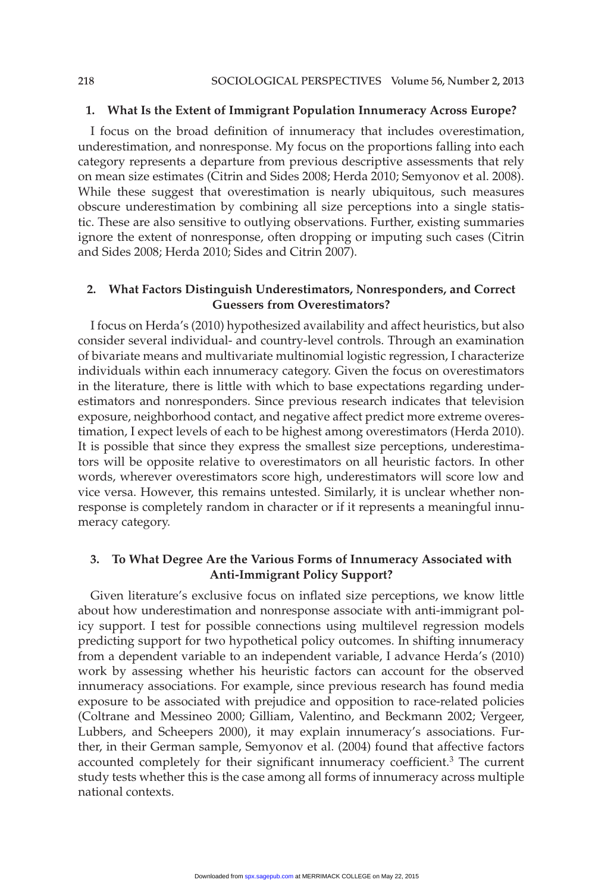#### **1. What Is the Extent of Immigrant Population Innumeracy Across Europe?**

I focus on the broad definition of innumeracy that includes overestimation, underestimation, and nonresponse. My focus on the proportions falling into each category represents a departure from previous descriptive assessments that rely on mean size estimates (Citrin and Sides 2008; Herda 2010; Semyonov et al. 2008). While these suggest that overestimation is nearly ubiquitous, such measures obscure underestimation by combining all size perceptions into a single statistic. These are also sensitive to outlying observations. Further, existing summaries ignore the extent of nonresponse, often dropping or imputing such cases (Citrin and Sides 2008; Herda 2010; Sides and Citrin 2007).

# **2. What Factors Distinguish Underestimators, Nonresponders, and Correct Guessers from Overestimators?**

I focus on Herda's (2010) hypothesized availability and affect heuristics, but also consider several individual- and country-level controls. Through an examination of bivariate means and multivariate multinomial logistic regression, I characterize individuals within each innumeracy category. Given the focus on overestimators in the literature, there is little with which to base expectations regarding underestimators and nonresponders. Since previous research indicates that television exposure, neighborhood contact, and negative affect predict more extreme overestimation, I expect levels of each to be highest among overestimators (Herda 2010). It is possible that since they express the smallest size perceptions, underestimators will be opposite relative to overestimators on all heuristic factors. In other words, wherever overestimators score high, underestimators will score low and vice versa. However, this remains untested. Similarly, it is unclear whether nonresponse is completely random in character or if it represents a meaningful innumeracy category.

### **3. To What Degree Are the Various Forms of Innumeracy Associated with Anti-Immigrant Policy Support?**

Given literature's exclusive focus on inflated size perceptions, we know little about how underestimation and nonresponse associate with anti-immigrant policy support. I test for possible connections using multilevel regression models predicting support for two hypothetical policy outcomes. In shifting innumeracy from a dependent variable to an independent variable, I advance Herda's (2010) work by assessing whether his heuristic factors can account for the observed innumeracy associations. For example, since previous research has found media exposure to be associated with prejudice and opposition to race-related policies (Coltrane and Messineo 2000; Gilliam, Valentino, and Beckmann 2002; Vergeer, Lubbers, and Scheepers 2000), it may explain innumeracy's associations. Further, in their German sample, Semyonov et al. (2004) found that affective factors accounted completely for their significant innumeracy coefficient.<sup>3</sup> The current study tests whether this is the case among all forms of innumeracy across multiple national contexts.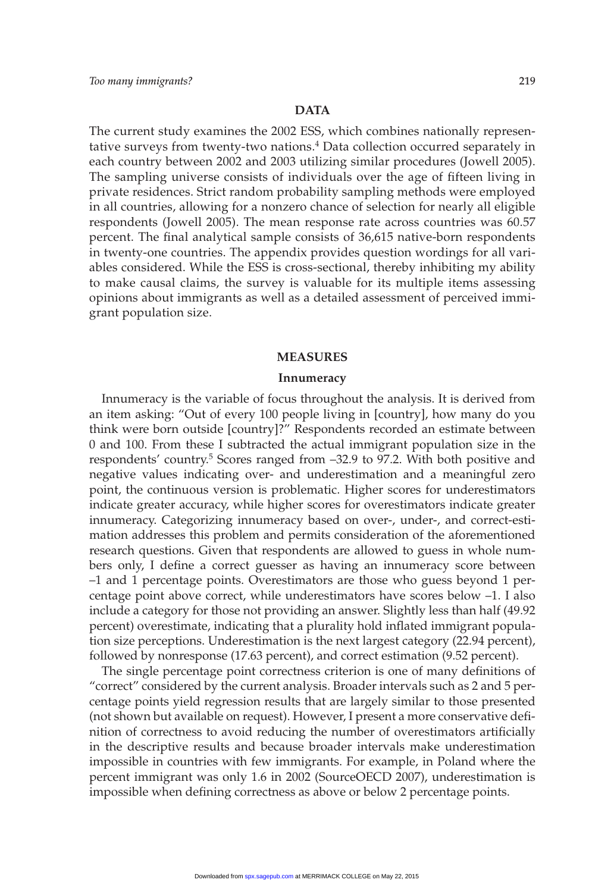#### **DATA**

The current study examines the 2002 ESS, which combines nationally representative surveys from twenty-two nations.4 Data collection occurred separately in each country between 2002 and 2003 utilizing similar procedures (Jowell 2005). The sampling universe consists of individuals over the age of fifteen living in private residences. Strict random probability sampling methods were employed in all countries, allowing for a nonzero chance of selection for nearly all eligible respondents (Jowell 2005). The mean response rate across countries was 60.57 percent. The final analytical sample consists of 36,615 native-born respondents in twenty-one countries. The appendix provides question wordings for all variables considered. While the ESS is cross-sectional, thereby inhibiting my ability to make causal claims, the survey is valuable for its multiple items assessing opinions about immigrants as well as a detailed assessment of perceived immigrant population size.

#### **MEASURES**

#### **Innumeracy**

Innumeracy is the variable of focus throughout the analysis. It is derived from an item asking: "Out of every 100 people living in [country], how many do you think were born outside [country]?" Respondents recorded an estimate between 0 and 100. From these I subtracted the actual immigrant population size in the respondents' country.<sup>5</sup> Scores ranged from -32.9 to 97.2. With both positive and negative values indicating over- and underestimation and a meaningful zero point, the continuous version is problematic. Higher scores for underestimators indicate greater accuracy, while higher scores for overestimators indicate greater innumeracy. Categorizing innumeracy based on over-, under-, and correct-estimation addresses this problem and permits consideration of the aforementioned research questions. Given that respondents are allowed to guess in whole numbers only, I define a correct guesser as having an innumeracy score between –1 and 1 percentage points. Overestimators are those who guess beyond 1 percentage point above correct, while underestimators have scores below –1. I also include a category for those not providing an answer. Slightly less than half (49.92 percent) overestimate, indicating that a plurality hold inflated immigrant population size perceptions. Underestimation is the next largest category (22.94 percent), followed by nonresponse (17.63 percent), and correct estimation (9.52 percent).

The single percentage point correctness criterion is one of many definitions of "correct" considered by the current analysis. Broader intervals such as 2 and 5 percentage points yield regression results that are largely similar to those presented (not shown but available on request). However, I present a more conservative definition of correctness to avoid reducing the number of overestimators artificially in the descriptive results and because broader intervals make underestimation impossible in countries with few immigrants. For example, in Poland where the percent immigrant was only 1.6 in 2002 (SourceOECD 2007), underestimation is impossible when defining correctness as above or below 2 percentage points.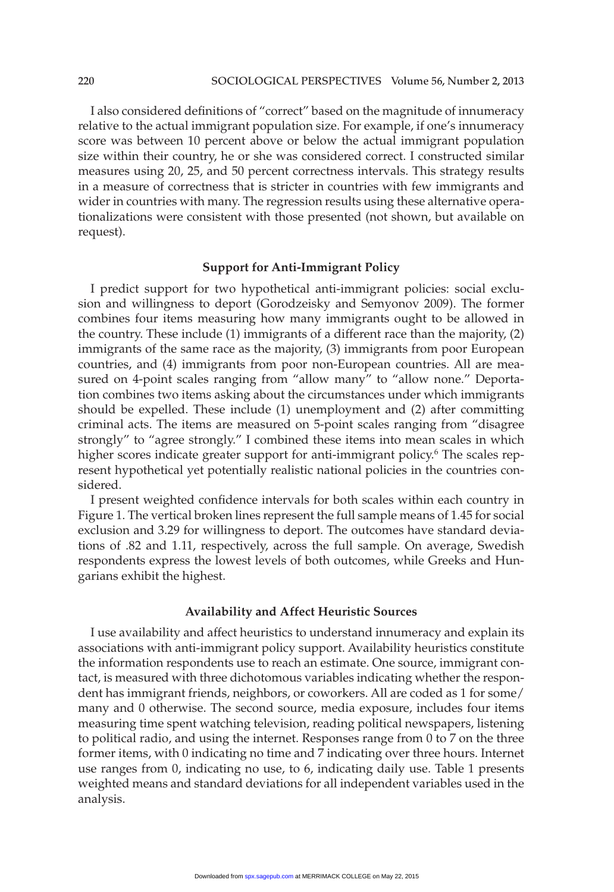I also considered definitions of "correct" based on the magnitude of innumeracy relative to the actual immigrant population size. For example, if one's innumeracy score was between 10 percent above or below the actual immigrant population size within their country, he or she was considered correct. I constructed similar measures using 20, 25, and 50 percent correctness intervals. This strategy results in a measure of correctness that is stricter in countries with few immigrants and wider in countries with many. The regression results using these alternative operationalizations were consistent with those presented (not shown, but available on request).

#### **Support for Anti-Immigrant Policy**

I predict support for two hypothetical anti-immigrant policies: social exclusion and willingness to deport (Gorodzeisky and Semyonov 2009). The former combines four items measuring how many immigrants ought to be allowed in the country. These include (1) immigrants of a different race than the majority, (2) immigrants of the same race as the majority, (3) immigrants from poor European countries, and (4) immigrants from poor non-European countries. All are measured on 4-point scales ranging from "allow many" to "allow none." Deportation combines two items asking about the circumstances under which immigrants should be expelled. These include (1) unemployment and (2) after committing criminal acts. The items are measured on 5-point scales ranging from "disagree strongly" to "agree strongly." I combined these items into mean scales in which higher scores indicate greater support for anti-immigrant policy.<sup>6</sup> The scales represent hypothetical yet potentially realistic national policies in the countries considered.

I present weighted confidence intervals for both scales within each country in Figure 1. The vertical broken lines represent the full sample means of 1.45 for social exclusion and 3.29 for willingness to deport. The outcomes have standard deviations of .82 and 1.11, respectively, across the full sample. On average, Swedish respondents express the lowest levels of both outcomes, while Greeks and Hungarians exhibit the highest.

#### **Availability and Affect Heuristic Sources**

I use availability and affect heuristics to understand innumeracy and explain its associations with anti-immigrant policy support. Availability heuristics constitute the information respondents use to reach an estimate. One source, immigrant contact, is measured with three dichotomous variables indicating whether the respondent has immigrant friends, neighbors, or coworkers. All are coded as 1 for some/ many and 0 otherwise. The second source, media exposure, includes four items measuring time spent watching television, reading political newspapers, listening to political radio, and using the internet. Responses range from 0 to 7 on the three former items, with 0 indicating no time and 7 indicating over three hours. Internet use ranges from 0, indicating no use, to 6, indicating daily use. Table 1 presents weighted means and standard deviations for all independent variables used in the analysis.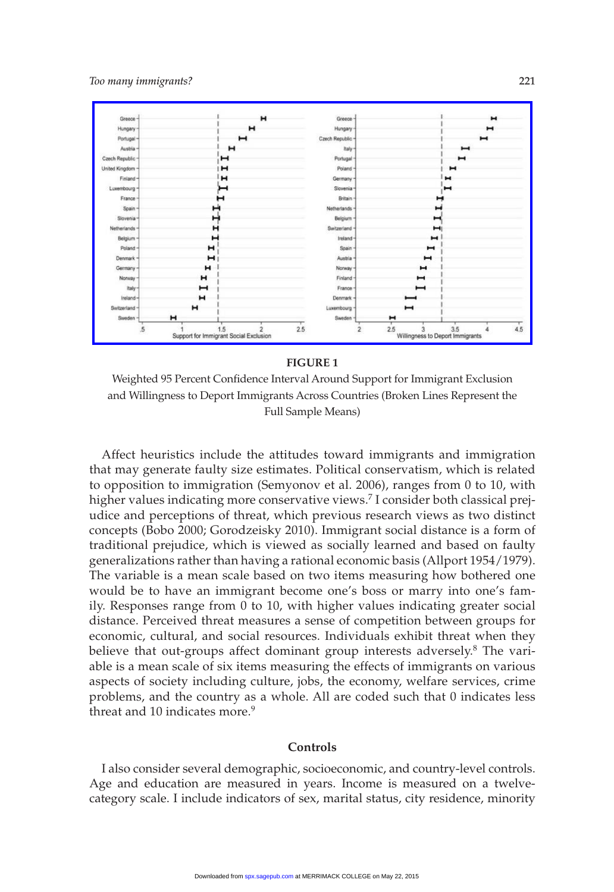*Too many immigrants?* 221



#### **FIGURE 1**

Weighted 95 Percent Confidence Interval Around Support for Immigrant Exclusion and Willingness to Deport Immigrants Across Countries (Broken Lines Represent the Full Sample Means)

Affect heuristics include the attitudes toward immigrants and immigration that may generate faulty size estimates. Political conservatism, which is related to opposition to immigration (Semyonov et al. 2006), ranges from 0 to 10, with higher values indicating more conservative views.<sup>7</sup> I consider both classical prejudice and perceptions of threat, which previous research views as two distinct concepts (Bobo 2000; Gorodzeisky 2010). Immigrant social distance is a form of traditional prejudice, which is viewed as socially learned and based on faulty generalizations rather than having a rational economic basis (Allport 1954/1979). The variable is a mean scale based on two items measuring how bothered one would be to have an immigrant become one's boss or marry into one's family. Responses range from 0 to 10, with higher values indicating greater social distance. Perceived threat measures a sense of competition between groups for economic, cultural, and social resources. Individuals exhibit threat when they believe that out-groups affect dominant group interests adversely.8 The variable is a mean scale of six items measuring the effects of immigrants on various aspects of society including culture, jobs, the economy, welfare services, crime problems, and the country as a whole. All are coded such that 0 indicates less threat and 10 indicates more.9

#### **Controls**

I also consider several demographic, socioeconomic, and country-level controls. Age and education are measured in years. Income is measured on a twelvecategory scale. I include indicators of sex, marital status, city residence, minority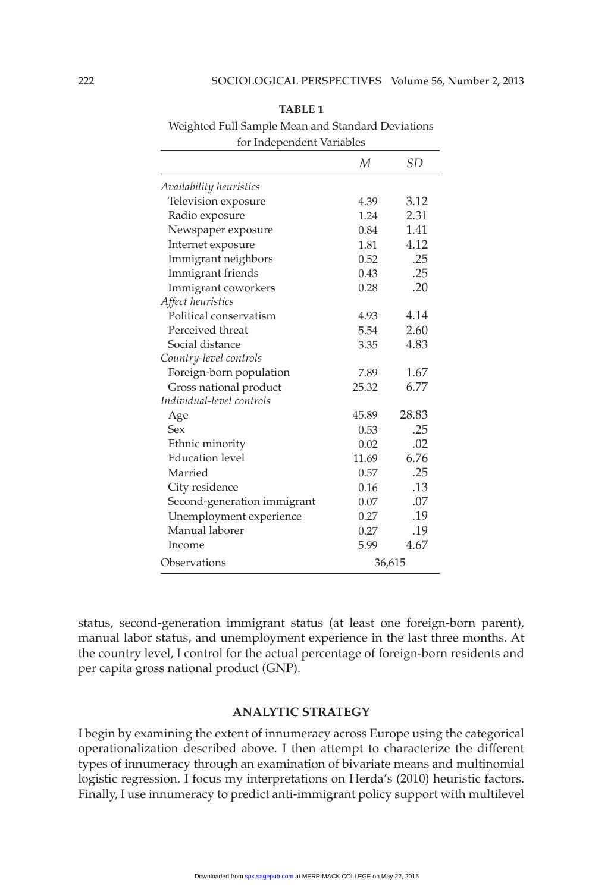| for Independent Variables   |       |           |
|-----------------------------|-------|-----------|
|                             | M     | <b>SD</b> |
| Availability heuristics     |       |           |
| Television exposure         | 4.39  | 3.12      |
| Radio exposure              | 1.24  | 2.31      |
| Newspaper exposure          | 0.84  | 1.41      |
| Internet exposure           | 1.81  | 4.12      |
| Immigrant neighbors         | 0.52  | .25       |
| Immigrant friends           | 0.43  | .25       |
| Immigrant coworkers         | 0.28  | .20       |
| Affect heuristics           |       |           |
| Political conservatism      | 4.93  | 4.14      |
| Perceived threat            | 5.54  | 2.60      |
| Social distance             | 3.35  | 4.83      |
| Country-level controls      |       |           |
| Foreign-born population     | 7.89  | 1.67      |
| Gross national product      | 25.32 | 6.77      |
| Individual-level controls   |       |           |
| Age                         | 45.89 | 28.83     |
| Sex                         | 0.53  | .25       |
| Ethnic minority             | 0.02  | .02       |
| <b>Education</b> level      | 11.69 | 6.76      |
| Married                     | 0.57  | .25       |
| City residence              | 0.16  | .13       |
| Second-generation immigrant | 0.07  | .07       |
| Unemployment experience     | 0.27  | .19       |
| Manual laborer              | 0.27  | .19       |
| Income                      | 5.99  | 4.67      |
| Observations                |       | 36,615    |

Weighted Full Sample Mean and Standard Deviations

status, second-generation immigrant status (at least one foreign-born parent), manual labor status, and unemployment experience in the last three months. At the country level, I control for the actual percentage of foreign-born residents and per capita gross national product (GNP).

# **ANALYTIC STRATEGY**

I begin by examining the extent of innumeracy across Europe using the categorical operationalization described above. I then attempt to characterize the different types of innumeracy through an examination of bivariate means and multinomial logistic regression. I focus my interpretations on Herda's (2010) heuristic factors. Finally, I use innumeracy to predict anti-immigrant policy support with multilevel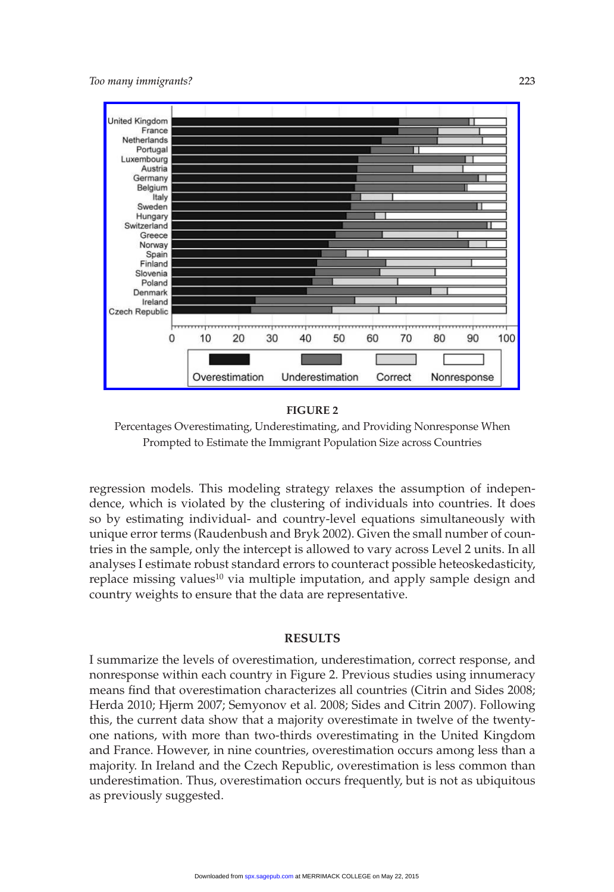*Too many immigrants?* 223



#### **FIGURE 2**

Percentages Overestimating, Underestimating, and Providing Nonresponse When Prompted to Estimate the Immigrant Population Size across Countries

regression models. This modeling strategy relaxes the assumption of independence, which is violated by the clustering of individuals into countries. It does so by estimating individual- and country-level equations simultaneously with unique error terms (Raudenbush and Bryk 2002). Given the small number of countries in the sample, only the intercept is allowed to vary across Level 2 units. In all analyses I estimate robust standard errors to counteract possible heteoskedasticity, replace missing values<sup>10</sup> via multiple imputation, and apply sample design and country weights to ensure that the data are representative.

#### **RESULTS**

I summarize the levels of overestimation, underestimation, correct response, and nonresponse within each country in Figure 2. Previous studies using innumeracy means find that overestimation characterizes all countries (Citrin and Sides 2008; Herda 2010; Hjerm 2007; Semyonov et al. 2008; Sides and Citrin 2007). Following this, the current data show that a majority overestimate in twelve of the twentyone nations, with more than two-thirds overestimating in the United Kingdom and France. However, in nine countries, overestimation occurs among less than a majority. In Ireland and the Czech Republic, overestimation is less common than underestimation. Thus, overestimation occurs frequently, but is not as ubiquitous as previously suggested.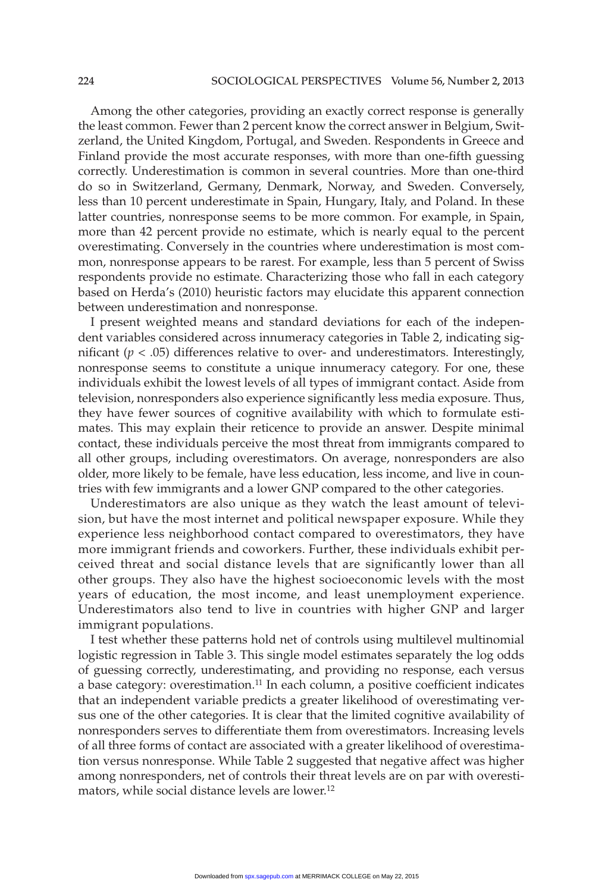Among the other categories, providing an exactly correct response is generally the least common. Fewer than 2 percent know the correct answer in Belgium, Switzerland, the United Kingdom, Portugal, and Sweden. Respondents in Greece and Finland provide the most accurate responses, with more than one-fifth guessing correctly. Underestimation is common in several countries. More than one-third do so in Switzerland, Germany, Denmark, Norway, and Sweden. Conversely, less than 10 percent underestimate in Spain, Hungary, Italy, and Poland. In these latter countries, nonresponse seems to be more common. For example, in Spain, more than 42 percent provide no estimate, which is nearly equal to the percent overestimating. Conversely in the countries where underestimation is most common, nonresponse appears to be rarest. For example, less than 5 percent of Swiss respondents provide no estimate. Characterizing those who fall in each category based on Herda's (2010) heuristic factors may elucidate this apparent connection between underestimation and nonresponse.

I present weighted means and standard deviations for each of the independent variables considered across innumeracy categories in Table 2, indicating significant ( $p < .05$ ) differences relative to over- and underestimators. Interestingly, nonresponse seems to constitute a unique innumeracy category. For one, these individuals exhibit the lowest levels of all types of immigrant contact. Aside from television, nonresponders also experience significantly less media exposure. Thus, they have fewer sources of cognitive availability with which to formulate estimates. This may explain their reticence to provide an answer. Despite minimal contact, these individuals perceive the most threat from immigrants compared to all other groups, including overestimators. On average, nonresponders are also older, more likely to be female, have less education, less income, and live in countries with few immigrants and a lower GNP compared to the other categories.

Underestimators are also unique as they watch the least amount of television, but have the most internet and political newspaper exposure. While they experience less neighborhood contact compared to overestimators, they have more immigrant friends and coworkers. Further, these individuals exhibit perceived threat and social distance levels that are significantly lower than all other groups. They also have the highest socioeconomic levels with the most years of education, the most income, and least unemployment experience. Underestimators also tend to live in countries with higher GNP and larger immigrant populations.

I test whether these patterns hold net of controls using multilevel multinomial logistic regression in Table 3. This single model estimates separately the log odds of guessing correctly, underestimating, and providing no response, each versus a base category: overestimation.<sup>11</sup> In each column, a positive coefficient indicates that an independent variable predicts a greater likelihood of overestimating versus one of the other categories. It is clear that the limited cognitive availability of nonresponders serves to differentiate them from overestimators. Increasing levels of all three forms of contact are associated with a greater likelihood of overestimation versus nonresponse. While Table 2 suggested that negative affect was higher among nonresponders, net of controls their threat levels are on par with overestimators, while social distance levels are lower.<sup>12</sup>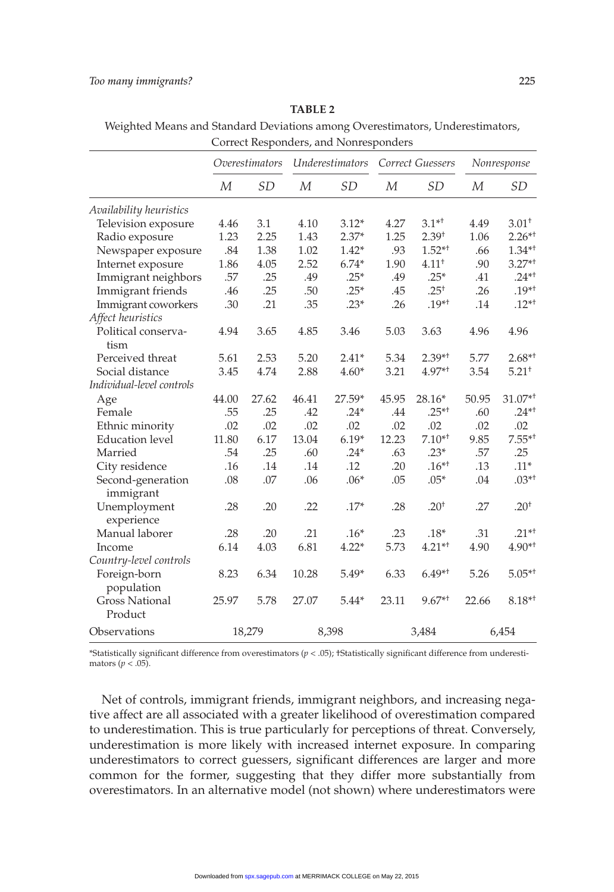#### **TABLE 2**

Weighted Means and Standard Deviations among Overestimators, Underestimators, Correct Responders, and Nonresponders

|                                  | Overestimators   |           | <i><u><b>Underestimators</b></u></i> |           | Correct Guessers |            | Nonresponse      |            |
|----------------------------------|------------------|-----------|--------------------------------------|-----------|------------------|------------|------------------|------------|
|                                  | $\boldsymbol{M}$ | <b>SD</b> | $\cal M$                             | <b>SD</b> | $\boldsymbol{M}$ | <b>SD</b>  | $\boldsymbol{M}$ | <i>SD</i>  |
| Availability heuristics          |                  |           |                                      |           |                  |            |                  |            |
| Television exposure              | 4.46             | 3.1       | 4.10                                 | $3.12*$   | 4.27             | $3.1**$    | 4.49             | $3.01^{+}$ |
| Radio exposure                   | 1.23             | 2.25      | 1.43                                 | $2.37*$   | 1.25             | $2.39^{+}$ | 1.06             | $2.26**$   |
| Newspaper exposure               | .84              | 1.38      | 1.02                                 | $1.42*$   | .93              | $1.52**$   | .66              | $1.34**$   |
| Internet exposure                | 1.86             | 4.05      | 2.52                                 | $6.74*$   | 1.90             | $4.11^{+}$ | .90              | $3.27**$   |
| Immigrant neighbors              | .57              | .25       | .49                                  | $.25*$    | .49              | $.25*$     | .41              | $.24**$    |
| Immigrant friends                | .46              | .25       | .50                                  | $.25*$    | .45              | $.25^{+}$  | .26              | $.19*$     |
| Immigrant coworkers              | .30              | .21       | .35                                  | $.23*$    | .26              | $.19**$    | .14              | $.12**$    |
| Affect heuristics                |                  |           |                                      |           |                  |            |                  |            |
| Political conserva-<br>tism      | 4.94             | 3.65      | 4.85                                 | 3.46      | 5.03             | 3.63       | 4.96             | 4.96       |
| Perceived threat                 | 5.61             | 2.53      | 5.20                                 | $2.41*$   | 5.34             | $2.39**$   | 5.77             | $2.68**$   |
| Social distance                  | 3.45             | 4.74      | 2.88                                 | $4.60*$   | 3.21             | $4.97**$   | 3.54             | $5.21^{+}$ |
| Individual-level controls        |                  |           |                                      |           |                  |            |                  |            |
| Age                              | 44.00            | 27.62     | 46.41                                | 27.59*    | 45.95            | $28.16*$   | 50.95            | 31.07*+    |
| Female                           | .55              | .25       | .42                                  | $.24*$    | .44              | $.25**$    | .60              | $.24**$    |
| Ethnic minority                  | .02              | .02       | .02                                  | .02       | .02              | .02        | .02              | .02        |
| <b>Education</b> level           | 11.80            | 6.17      | 13.04                                | $6.19*$   | 12.23            | $7.10**$   | 9.85             | $7.55**$   |
| Married                          | .54              | .25       | .60                                  | $.24*$    | .63              | $.23*$     | .57              | .25        |
| City residence                   | .16              | .14       | .14                                  | .12       | .20              | $.16^{*+}$ | .13              | $.11*$     |
| Second-generation<br>immigrant   | .08              | .07       | .06                                  | $.06*$    | .05              | $.05*$     | .04              | $.03**$    |
| Unemployment<br>experience       | .28              | .20       | .22                                  | $.17*$    | .28              | $.20^{+}$  | .27              | $.20^{+}$  |
| Manual laborer                   | .28              | .20       | .21                                  | $.16*$    | .23              | $.18*$     | .31              | $.21**$    |
| Income                           | 6.14             | 4.03      | 6.81                                 | $4.22*$   | 5.73             | $4.21**$   | 4.90             | $4.90**$   |
| Country-level controls           |                  |           |                                      |           |                  |            |                  |            |
| Foreign-born<br>population       | 8.23             | 6.34      | 10.28                                | $5.49*$   | 6.33             | $6.49**$   | 5.26             | $5.05**$   |
| <b>Gross National</b><br>Product | 25.97            | 5.78      | 27.07                                | $5.44*$   | 23.11            | $9.67**$   | 22.66            | $8.18**$   |
| Observations                     |                  | 18,279    |                                      | 8,398     |                  | 3,484      |                  | 6,454      |

\*Statistically significant difference from overestimators (*p* < .05); †Statistically significant difference from underestimators  $(p < .05)$ .

Net of controls, immigrant friends, immigrant neighbors, and increasing negative affect are all associated with a greater likelihood of overestimation compared to underestimation. This is true particularly for perceptions of threat. Conversely, underestimation is more likely with increased internet exposure. In comparing underestimators to correct guessers, significant differences are larger and more common for the former, suggesting that they differ more substantially from overestimators. In an alternative model (not shown) where underestimators were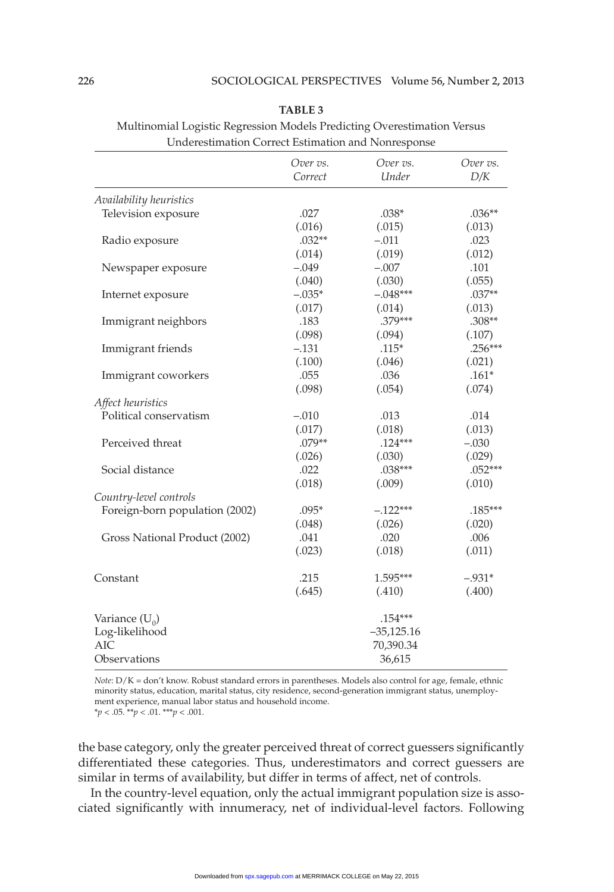|                                | Over vs. | Over vs.     | Over vs.  |
|--------------------------------|----------|--------------|-----------|
|                                | Correct  | Under        | D/K       |
| Availability heuristics        |          |              |           |
| Television exposure            | .027     | $.038*$      | $.036**$  |
|                                | (.016)   | (.015)       | (.013)    |
| Radio exposure                 | $.032**$ | $-.011$      | .023      |
|                                | (.014)   | (.019)       | (.012)    |
| Newspaper exposure             | $-.049$  | $-.007$      | .101      |
|                                | (.040)   | (.030)       | (.055)    |
| Internet exposure              | $-.035*$ | $-.048***$   | $.037**$  |
|                                | (.017)   | (.014)       | (.013)    |
| Immigrant neighbors            | .183     | .379***      | $.308**$  |
|                                | (.098)   | (.094)       | (.107)    |
| Immigrant friends              | $-.131$  | $.115*$      | $.256***$ |
|                                | (.100)   | (.046)       | (.021)    |
| Immigrant coworkers            | .055     | .036         | $.161*$   |
|                                | (.098)   | (.054)       | (.074)    |
| Affect heuristics              |          |              |           |
| Political conservatism         | $-.010$  | .013         | .014      |
|                                | (.017)   | (.018)       | (.013)    |
| Perceived threat               | $.079**$ | $.124***$    | $-.030$   |
|                                | (.026)   | (.030)       | (.029)    |
| Social distance                | .022     | $.038***$    | $.052***$ |
|                                | (.018)   | (.009)       | (.010)    |
| Country-level controls         |          |              |           |
| Foreign-born population (2002) | $.095*$  | $-.122***$   | $.185***$ |
|                                | (.048)   | (.026)       | (.020)    |
| Gross National Product (2002)  | .041     | .020         | .006      |
|                                | (.023)   | (.018)       | (.011)    |
| Constant                       | .215     | 1.595***     | $-.931*$  |
|                                | (.645)   | (.410)       | (.400)    |
| Variance $(U_0)$               |          | $.154***$    |           |
| Log-likelihood                 |          | $-35,125.16$ |           |
| <b>AIC</b>                     |          | 70,390.34    |           |
| Observations                   |          | 36,615       |           |

Multinomial Logistic Regression Models Predicting Overestimation Versus Underestimation Correct Estimation and Nonresponse

*Note*:  $D/K =$  don't know. Robust standard errors in parentheses. Models also control for age, female, ethnic minority status, education, marital status, city residence, second-generation immigrant status, unemployment experience, manual labor status and household income.  $**p* < .05. ***p* < .01. ****p* < .001.$ 

the base category, only the greater perceived threat of correct guessers significantly differentiated these categories. Thus, underestimators and correct guessers are similar in terms of availability, but differ in terms of affect, net of controls.

In the country-level equation, only the actual immigrant population size is associated significantly with innumeracy, net of individual-level factors. Following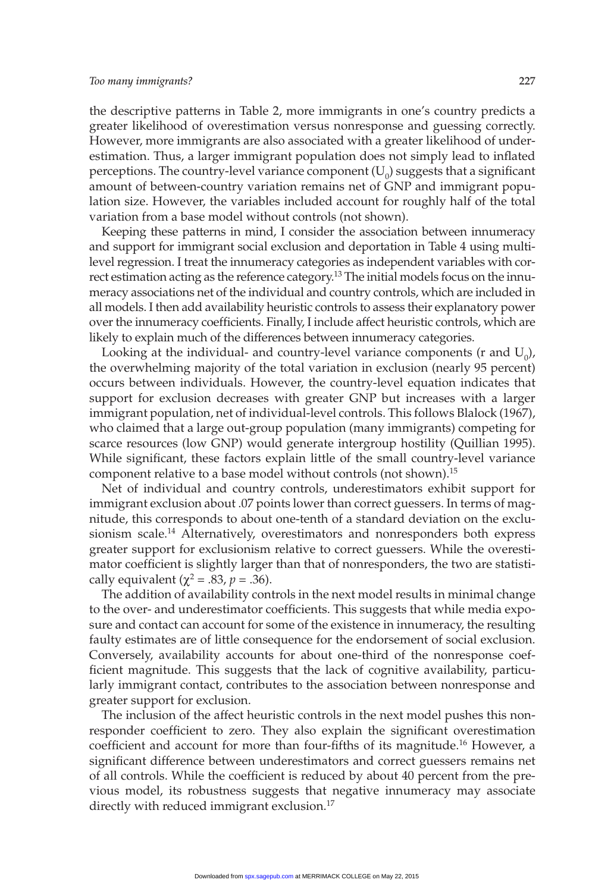#### *Too many immigrants?* 227

the descriptive patterns in Table 2, more immigrants in one's country predicts a greater likelihood of overestimation versus nonresponse and guessing correctly. However, more immigrants are also associated with a greater likelihood of underestimation. Thus, a larger immigrant population does not simply lead to inflated perceptions. The country-level variance component  $(U_0)$  suggests that a significant amount of between-country variation remains net of GNP and immigrant population size. However, the variables included account for roughly half of the total variation from a base model without controls (not shown).

Keeping these patterns in mind, I consider the association between innumeracy and support for immigrant social exclusion and deportation in Table 4 using multilevel regression. I treat the innumeracy categories as independent variables with correct estimation acting as the reference category.13 The initial models focus on the innumeracy associations net of the individual and country controls, which are included in all models. I then add availability heuristic controls to assess their explanatory power over the innumeracy coefficients. Finally, I include affect heuristic controls, which are likely to explain much of the differences between innumeracy categories.

Looking at the individual- and country-level variance components (r and  $U_0$ ), the overwhelming majority of the total variation in exclusion (nearly 95 percent) occurs between individuals. However, the country-level equation indicates that support for exclusion decreases with greater GNP but increases with a larger immigrant population, net of individual-level controls. This follows Blalock (1967), who claimed that a large out-group population (many immigrants) competing for scarce resources (low GNP) would generate intergroup hostility (Quillian 1995). While significant, these factors explain little of the small country-level variance component relative to a base model without controls (not shown).15

Net of individual and country controls, underestimators exhibit support for immigrant exclusion about .07 points lower than correct guessers. In terms of magnitude, this corresponds to about one-tenth of a standard deviation on the exclusionism scale.14 Alternatively, overestimators and nonresponders both express greater support for exclusionism relative to correct guessers. While the overestimator coefficient is slightly larger than that of nonresponders, the two are statistically equivalent ( $\chi^2 = .83$ ,  $p = .36$ ).

The addition of availability controls in the next model results in minimal change to the over- and underestimator coefficients. This suggests that while media exposure and contact can account for some of the existence in innumeracy, the resulting faulty estimates are of little consequence for the endorsement of social exclusion. Conversely, availability accounts for about one-third of the nonresponse coefficient magnitude. This suggests that the lack of cognitive availability, particularly immigrant contact, contributes to the association between nonresponse and greater support for exclusion.

The inclusion of the affect heuristic controls in the next model pushes this nonresponder coefficient to zero. They also explain the significant overestimation coefficient and account for more than four-fifths of its magnitude.16 However, a significant difference between underestimators and correct guessers remains net of all controls. While the coefficient is reduced by about 40 percent from the previous model, its robustness suggests that negative innumeracy may associate directly with reduced immigrant exclusion.<sup>17</sup>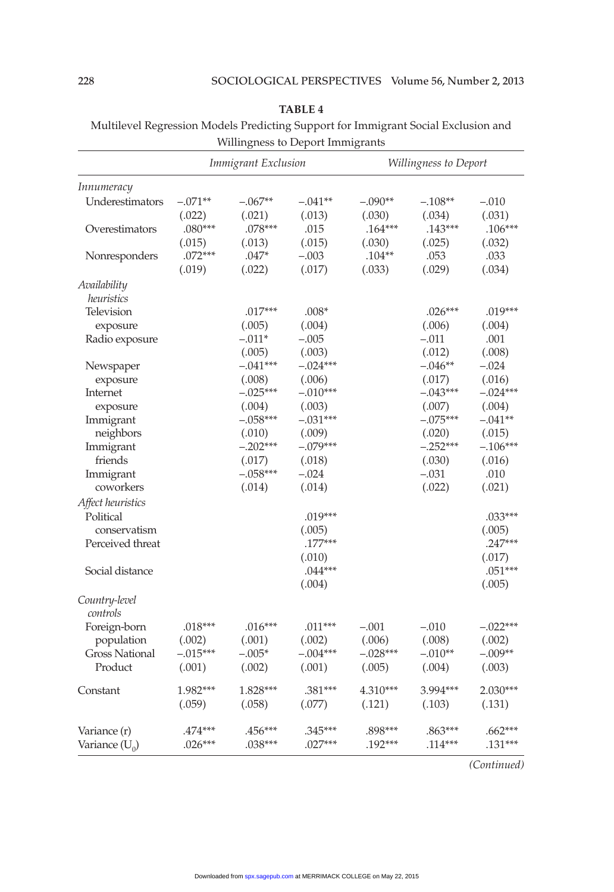|                                  | Immigrant Exclusion    |                        |                        | Willingness to Deport |                        |                        |
|----------------------------------|------------------------|------------------------|------------------------|-----------------------|------------------------|------------------------|
| Innumeracy                       |                        |                        |                        |                       |                        |                        |
| Underestimators                  | $-.071**$<br>(.022)    | $-.067**$<br>(.021)    | $-.041**$<br>(.013)    | $-.090**$<br>(.030)   | $-.108**$<br>(.034)    | $-.010$<br>(.031)      |
| Overestimators                   | $.080***$<br>(.015)    | $.078***$<br>(.013)    | .015<br>(.015)         | $.164***$<br>(.030)   | $.143***$<br>(.025)    | $.106***$<br>(.032)    |
| Nonresponders                    | $.072***$<br>(.019)    | $.047*$<br>(.022)      | $-.003$<br>(.017)      | $.104**$<br>(.033)    | .053<br>(.029)         | .033<br>(.034)         |
| Availability<br>heuristics       |                        |                        |                        |                       |                        |                        |
| Television<br>exposure           |                        | $.017***$<br>(.005)    | $.008*$<br>(.004)      |                       | $.026***$<br>(.006)    | $.019***$<br>(.004)    |
| Radio exposure                   |                        | $-.011*$<br>(.005)     | $-.005$<br>(.003)      |                       | $-.011$<br>(.012)      | .001<br>(.008)         |
| Newspaper<br>exposure            |                        | $-.041***$<br>(.008)   | $-.024***$<br>(.006)   |                       | $-.046**$<br>(.017)    | $-.024$<br>(.016)      |
| Internet<br>exposure             |                        | $-.025***$<br>(.004)   | $-.010***$<br>(.003)   |                       | $-.043***$<br>(.007)   | $-.024***$<br>(.004)   |
| Immigrant<br>neighbors           |                        | $-.058***$<br>(.010)   | $-.031***$<br>(.009)   |                       | $-.075***$<br>(.020)   | $-.041**$<br>(.015)    |
| Immigrant<br>friends             |                        | $-.202***$<br>(.017)   | $-.079***$<br>(.018)   |                       | $-.252***$<br>(.030)   | $-.106***$<br>(.016)   |
| Immigrant<br>coworkers           |                        | $-.058***$<br>(.014)   | $-.024$<br>(.014)      |                       | $-.031$<br>(.022)      | .010<br>(.021)         |
| Affect heuristics<br>Political   |                        |                        | $.019***$              |                       |                        | $.033***$              |
| conservatism<br>Perceived threat |                        |                        | (.005)<br>$.177***$    |                       |                        | (.005)<br>$.247***$    |
| Social distance                  |                        |                        | (.010)<br>$.044***$    |                       |                        | (.017)<br>$.051***$    |
| Country-level                    |                        |                        | (.004)                 |                       |                        | (.005)                 |
| controls                         |                        | $.016***$              |                        | $-.001$               | $-.010$                |                        |
| Foreign-born<br>population       | $.018***$<br>(.002)    | (.001)                 | $.011***$<br>(.002)    | (.006)                | (.008)                 | $-.022***$<br>(.002)   |
| <b>Gross National</b><br>Product | $-.015***$<br>(.001)   | $-.005*$<br>(.002)     | $-.004***$<br>(.001)   | $-.028***$<br>(.005)  | $-.010**$<br>(.004)    | $-.009**$<br>(.003)    |
| Constant                         | 1.982***<br>(.059)     | 1.828***<br>(.058)     | $.381***$<br>(.077)    | $4.310***$<br>(.121)  | 3.994***<br>(.103)     | $2.030***$<br>(.131)   |
| Variance (r)<br>Variance $(U_0)$ | $.474***$<br>$.026***$ | $.456***$<br>$.038***$ | $.345***$<br>$.027***$ | .898***<br>$.192***$  | $.863***$<br>$.114***$ | $.662***$<br>$.131***$ |

# **TABLE 4**

Multilevel Regression Models Predicting Support for Immigrant Social Exclusion and Willingness to Deport Immigrants

*(Continued)*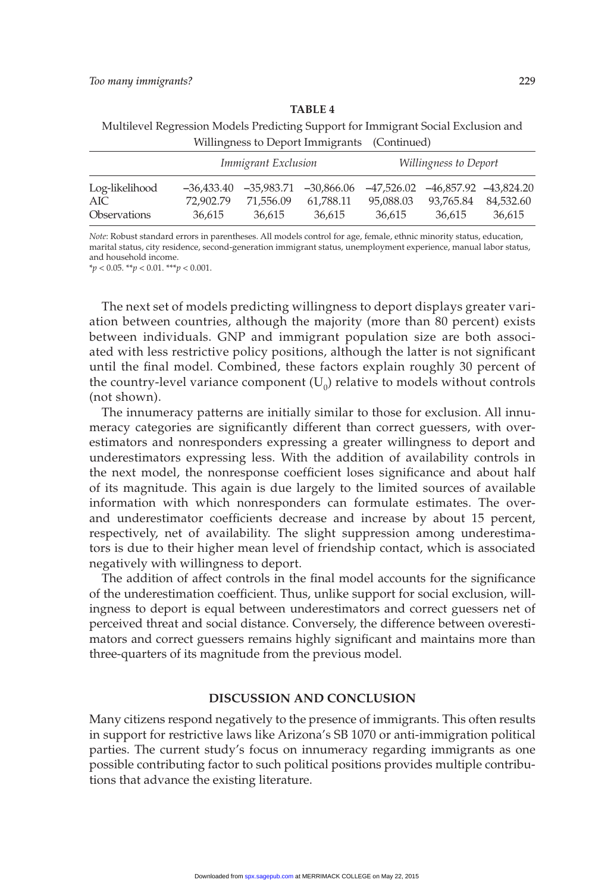#### **TABLE 4**

Multilevel Regression Models Predicting Support for Immigrant Social Exclusion and Willingness to Deport Immigrants (Continued)

|                                                | Immigrant Exclusion |                     |                                                                                                      |                     | <i>Willingness to Deport</i> |                     |
|------------------------------------------------|---------------------|---------------------|------------------------------------------------------------------------------------------------------|---------------------|------------------------------|---------------------|
| Log-likelihood<br>AIC -<br><b>Observations</b> | 72.902.79<br>36.615 | 71.556.09<br>36.615 | $-36,433.40$ $-35,983.71$ $-30,866.06$ $-47,526.02$ $-46,857.92$ $-43,824.20$<br>61.788.11<br>36.615 | 95.088.03<br>36.615 | 93.765.84<br>36.615          | 84.532.60<br>36.615 |

*Note*: Robust standard errors in parentheses. All models control for age, female, ethnic minority status, education, marital status, city residence, second-generation immigrant status, unemployment experience, manual labor status, and household income.

\**p* < 0.05. \*\**p* < 0.01. \*\*\**p* < 0.001.

The next set of models predicting willingness to deport displays greater variation between countries, although the majority (more than 80 percent) exists between individuals. GNP and immigrant population size are both associated with less restrictive policy positions, although the latter is not significant until the final model. Combined, these factors explain roughly 30 percent of the country-level variance component  $(U_0)$  relative to models without controls (not shown).

The innumeracy patterns are initially similar to those for exclusion. All innumeracy categories are significantly different than correct guessers, with overestimators and nonresponders expressing a greater willingness to deport and underestimators expressing less. With the addition of availability controls in the next model, the nonresponse coefficient loses significance and about half of its magnitude. This again is due largely to the limited sources of available information with which nonresponders can formulate estimates. The overand underestimator coefficients decrease and increase by about 15 percent, respectively, net of availability. The slight suppression among underestimators is due to their higher mean level of friendship contact, which is associated negatively with willingness to deport.

The addition of affect controls in the final model accounts for the significance of the underestimation coefficient. Thus, unlike support for social exclusion, willingness to deport is equal between underestimators and correct guessers net of perceived threat and social distance. Conversely, the difference between overestimators and correct guessers remains highly significant and maintains more than three-quarters of its magnitude from the previous model.

#### **DISCUSSION AND CONCLUSION**

Many citizens respond negatively to the presence of immigrants. This often results in support for restrictive laws like Arizona's SB 1070 or anti-immigration political parties. The current study's focus on innumeracy regarding immigrants as one possible contributing factor to such political positions provides multiple contributions that advance the existing literature.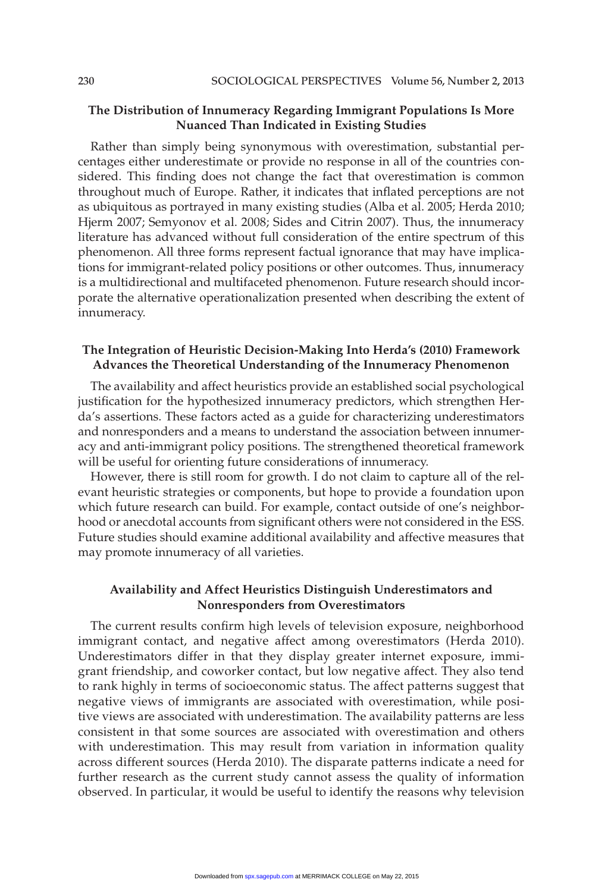#### **The Distribution of Innumeracy Regarding Immigrant Populations Is More Nuanced Than Indicated in Existing Studies**

Rather than simply being synonymous with overestimation, substantial percentages either underestimate or provide no response in all of the countries considered. This finding does not change the fact that overestimation is common throughout much of Europe. Rather, it indicates that inflated perceptions are not as ubiquitous as portrayed in many existing studies (Alba et al. 2005; Herda 2010; Hjerm 2007; Semyonov et al. 2008; Sides and Citrin 2007). Thus, the innumeracy literature has advanced without full consideration of the entire spectrum of this phenomenon. All three forms represent factual ignorance that may have implications for immigrant-related policy positions or other outcomes. Thus, innumeracy is a multidirectional and multifaceted phenomenon. Future research should incorporate the alternative operationalization presented when describing the extent of innumeracy.

# **The Integration of Heuristic Decision-Making Into Herda's (2010) Framework Advances the Theoretical Understanding of the Innumeracy Phenomenon**

The availability and affect heuristics provide an established social psychological justification for the hypothesized innumeracy predictors, which strengthen Herda's assertions. These factors acted as a guide for characterizing underestimators and nonresponders and a means to understand the association between innumeracy and anti-immigrant policy positions. The strengthened theoretical framework will be useful for orienting future considerations of innumeracy.

However, there is still room for growth. I do not claim to capture all of the relevant heuristic strategies or components, but hope to provide a foundation upon which future research can build. For example, contact outside of one's neighborhood or anecdotal accounts from significant others were not considered in the ESS. Future studies should examine additional availability and affective measures that may promote innumeracy of all varieties.

# **Availability and Affect Heuristics Distinguish Underestimators and Nonresponders from Overestimators**

The current results confirm high levels of television exposure, neighborhood immigrant contact, and negative affect among overestimators (Herda 2010). Underestimators differ in that they display greater internet exposure, immigrant friendship, and coworker contact, but low negative affect. They also tend to rank highly in terms of socioeconomic status. The affect patterns suggest that negative views of immigrants are associated with overestimation, while positive views are associated with underestimation. The availability patterns are less consistent in that some sources are associated with overestimation and others with underestimation. This may result from variation in information quality across different sources (Herda 2010). The disparate patterns indicate a need for further research as the current study cannot assess the quality of information observed. In particular, it would be useful to identify the reasons why television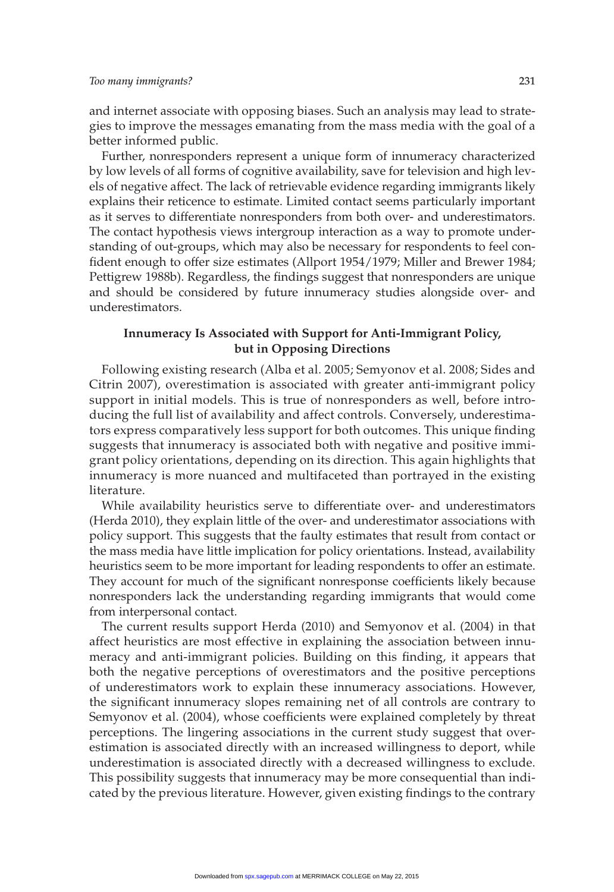#### *Too many immigrants?* 231

and internet associate with opposing biases. Such an analysis may lead to strategies to improve the messages emanating from the mass media with the goal of a better informed public.

Further, nonresponders represent a unique form of innumeracy characterized by low levels of all forms of cognitive availability, save for television and high levels of negative affect. The lack of retrievable evidence regarding immigrants likely explains their reticence to estimate. Limited contact seems particularly important as it serves to differentiate nonresponders from both over- and underestimators. The contact hypothesis views intergroup interaction as a way to promote understanding of out-groups, which may also be necessary for respondents to feel confident enough to offer size estimates (Allport 1954/1979; Miller and Brewer 1984; Pettigrew 1988b). Regardless, the findings suggest that nonresponders are unique and should be considered by future innumeracy studies alongside over- and underestimators.

# **Innumeracy Is Associated with Support for Anti-Immigrant Policy, but in Opposing Directions**

Following existing research (Alba et al. 2005; Semyonov et al. 2008; Sides and Citrin 2007), overestimation is associated with greater anti-immigrant policy support in initial models. This is true of nonresponders as well, before introducing the full list of availability and affect controls. Conversely, underestimators express comparatively less support for both outcomes. This unique finding suggests that innumeracy is associated both with negative and positive immigrant policy orientations, depending on its direction. This again highlights that innumeracy is more nuanced and multifaceted than portrayed in the existing literature.

While availability heuristics serve to differentiate over- and underestimators (Herda 2010), they explain little of the over- and underestimator associations with policy support. This suggests that the faulty estimates that result from contact or the mass media have little implication for policy orientations. Instead, availability heuristics seem to be more important for leading respondents to offer an estimate. They account for much of the significant nonresponse coefficients likely because nonresponders lack the understanding regarding immigrants that would come from interpersonal contact.

The current results support Herda (2010) and Semyonov et al. (2004) in that affect heuristics are most effective in explaining the association between innumeracy and anti-immigrant policies. Building on this finding, it appears that both the negative perceptions of overestimators and the positive perceptions of underestimators work to explain these innumeracy associations. However, the significant innumeracy slopes remaining net of all controls are contrary to Semyonov et al. (2004), whose coefficients were explained completely by threat perceptions. The lingering associations in the current study suggest that overestimation is associated directly with an increased willingness to deport, while underestimation is associated directly with a decreased willingness to exclude. This possibility suggests that innumeracy may be more consequential than indicated by the previous literature. However, given existing findings to the contrary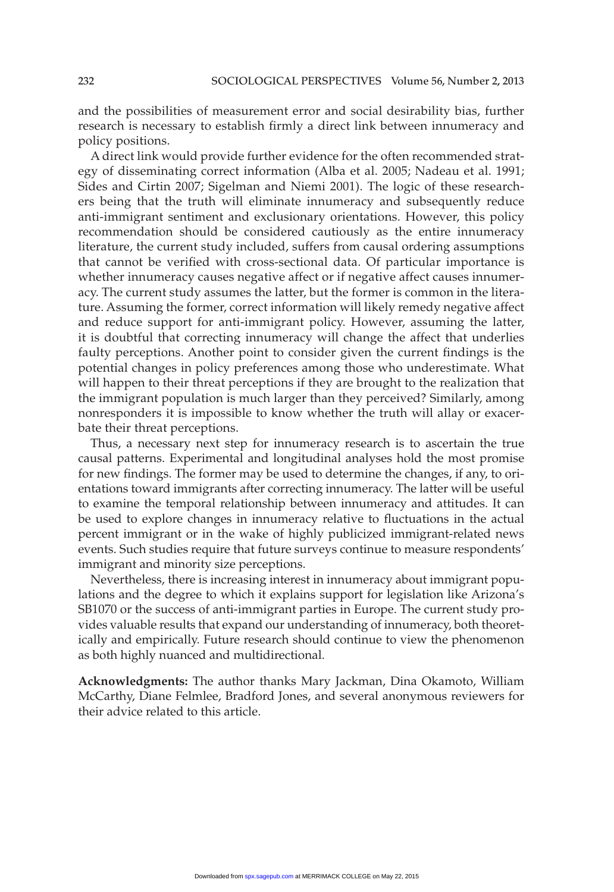and the possibilities of measurement error and social desirability bias, further research is necessary to establish firmly a direct link between innumeracy and policy positions.

A direct link would provide further evidence for the often recommended strategy of disseminating correct information (Alba et al. 2005; Nadeau et al. 1991; Sides and Cirtin 2007; Sigelman and Niemi 2001). The logic of these researchers being that the truth will eliminate innumeracy and subsequently reduce anti-immigrant sentiment and exclusionary orientations. However, this policy recommendation should be considered cautiously as the entire innumeracy literature, the current study included, suffers from causal ordering assumptions that cannot be verified with cross-sectional data. Of particular importance is whether innumeracy causes negative affect or if negative affect causes innumeracy. The current study assumes the latter, but the former is common in the literature. Assuming the former, correct information will likely remedy negative affect and reduce support for anti-immigrant policy. However, assuming the latter, it is doubtful that correcting innumeracy will change the affect that underlies faulty perceptions. Another point to consider given the current findings is the potential changes in policy preferences among those who underestimate. What will happen to their threat perceptions if they are brought to the realization that the immigrant population is much larger than they perceived? Similarly, among nonresponders it is impossible to know whether the truth will allay or exacerbate their threat perceptions.

Thus, a necessary next step for innumeracy research is to ascertain the true causal patterns. Experimental and longitudinal analyses hold the most promise for new findings. The former may be used to determine the changes, if any, to orientations toward immigrants after correcting innumeracy. The latter will be useful to examine the temporal relationship between innumeracy and attitudes. It can be used to explore changes in innumeracy relative to fluctuations in the actual percent immigrant or in the wake of highly publicized immigrant-related news events. Such studies require that future surveys continue to measure respondents' immigrant and minority size perceptions.

Nevertheless, there is increasing interest in innumeracy about immigrant populations and the degree to which it explains support for legislation like Arizona's SB1070 or the success of anti-immigrant parties in Europe. The current study provides valuable results that expand our understanding of innumeracy, both theoretically and empirically. Future research should continue to view the phenomenon as both highly nuanced and multidirectional.

**Acknowledgments:** The author thanks Mary Jackman, Dina Okamoto, William McCarthy, Diane Felmlee, Bradford Jones, and several anonymous reviewers for their advice related to this article.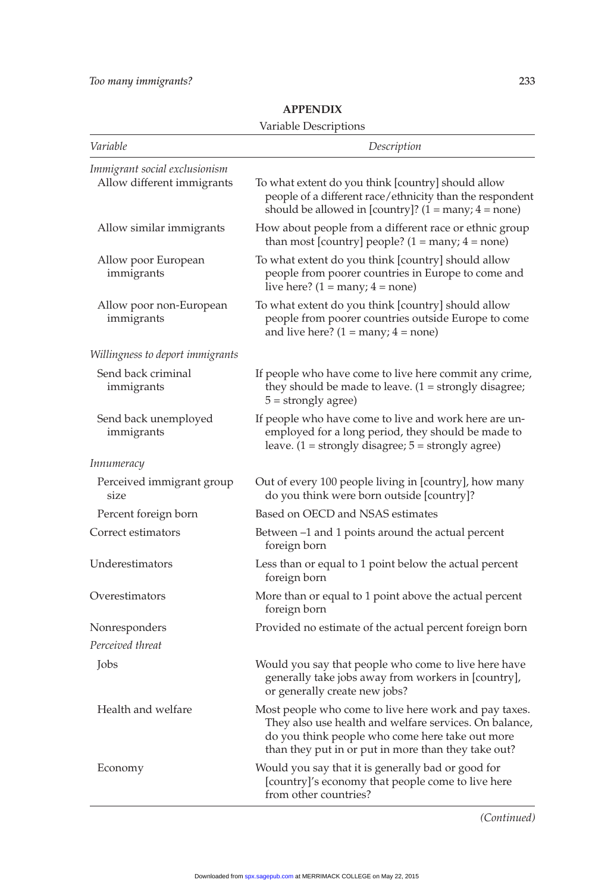| ×  |
|----|
| ۰, |

| <b>APPENDIX</b> |
|-----------------|
|-----------------|

# Variable Descriptions

| Variable                              | Description                                                                                                                                                                                                               |
|---------------------------------------|---------------------------------------------------------------------------------------------------------------------------------------------------------------------------------------------------------------------------|
| Immigrant social exclusionism         |                                                                                                                                                                                                                           |
| Allow different immigrants            | To what extent do you think [country] should allow<br>people of a different race/ethnicity than the respondent<br>should be allowed in [country]? $(1 = \text{many}; 4 = \text{none})$                                    |
| Allow similar immigrants              | How about people from a different race or ethnic group<br>than most [country] people? $(1 = \text{many}; 4 = \text{none})$                                                                                                |
| Allow poor European<br>immigrants     | To what extent do you think [country] should allow<br>people from poorer countries in Europe to come and<br>live here? $(1 = \text{many}; 4 = \text{none})$                                                               |
| Allow poor non-European<br>immigrants | To what extent do you think [country] should allow<br>people from poorer countries outside Europe to come<br>and live here? $(1 = \text{many}; 4 = \text{none})$                                                          |
| Willingness to deport immigrants      |                                                                                                                                                                                                                           |
| Send back criminal<br>immigrants      | If people who have come to live here commit any crime,<br>they should be made to leave. $(1 = \text{strongly disagree})$<br>$5 =$ strongly agree)                                                                         |
| Send back unemployed<br>immigrants    | If people who have come to live and work here are un-<br>employed for a long period, they should be made to<br>leave. $(1 =$ strongly disagree; $5 =$ strongly agree)                                                     |
| Innumeracy                            |                                                                                                                                                                                                                           |
| Perceived immigrant group<br>size     | Out of every 100 people living in [country], how many<br>do you think were born outside [country]?                                                                                                                        |
| Percent foreign born                  | Based on OECD and NSAS estimates                                                                                                                                                                                          |
| Correct estimators                    | Between -1 and 1 points around the actual percent<br>foreign born                                                                                                                                                         |
| Underestimators                       | Less than or equal to 1 point below the actual percent<br>foreign born                                                                                                                                                    |
| Overestimators                        | More than or equal to 1 point above the actual percent<br>foreign born                                                                                                                                                    |
| Nonresponders                         | Provided no estimate of the actual percent foreign born                                                                                                                                                                   |
| Perceived threat                      |                                                                                                                                                                                                                           |
| Jobs                                  | Would you say that people who come to live here have<br>generally take jobs away from workers in [country],<br>or generally create new jobs?                                                                              |
| Health and welfare                    | Most people who come to live here work and pay taxes.<br>They also use health and welfare services. On balance,<br>do you think people who come here take out more<br>than they put in or put in more than they take out? |
| Economy                               | Would you say that it is generally bad or good for<br>[country]'s economy that people come to live here<br>from other countries?                                                                                          |

*(Continued)*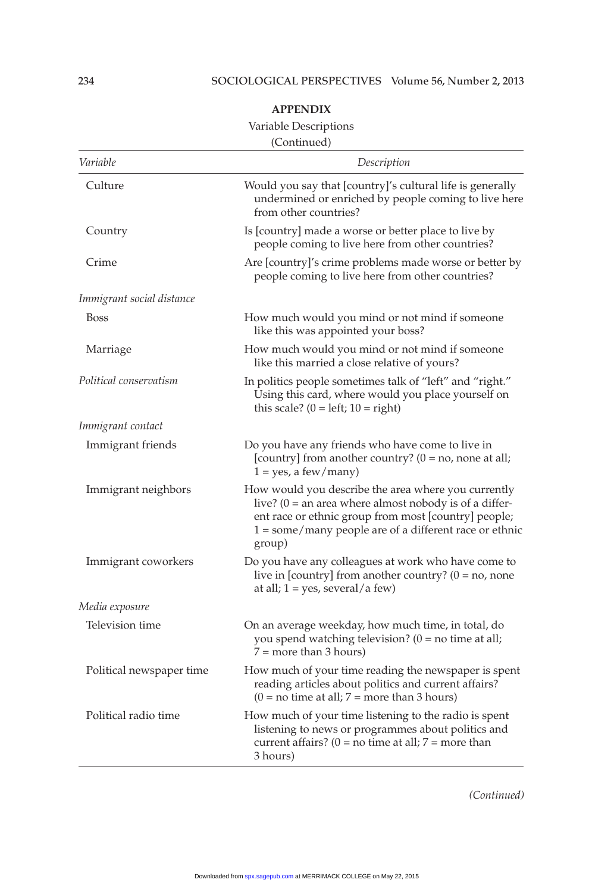|                           | Variable Descriptions                                                                                                                                                                                                                           |
|---------------------------|-------------------------------------------------------------------------------------------------------------------------------------------------------------------------------------------------------------------------------------------------|
|                           | (Continued)                                                                                                                                                                                                                                     |
| Variable                  | Description                                                                                                                                                                                                                                     |
| Culture                   | Would you say that [country]'s cultural life is generally<br>undermined or enriched by people coming to live here<br>from other countries?                                                                                                      |
| Country                   | Is [country] made a worse or better place to live by<br>people coming to live here from other countries?                                                                                                                                        |
| Crime                     | Are [country]'s crime problems made worse or better by<br>people coming to live here from other countries?                                                                                                                                      |
| Immigrant social distance |                                                                                                                                                                                                                                                 |
| <b>Boss</b>               | How much would you mind or not mind if someone<br>like this was appointed your boss?                                                                                                                                                            |
| Marriage                  | How much would you mind or not mind if someone<br>like this married a close relative of yours?                                                                                                                                                  |
| Political conservatism    | In politics people sometimes talk of "left" and "right."<br>Using this card, where would you place yourself on<br>this scale? $(0 = left; 10 = right)$                                                                                          |
| Immigrant contact         |                                                                                                                                                                                                                                                 |
| Immigrant friends         | Do you have any friends who have come to live in<br>[country] from another country? $(0 = no, none at all;$<br>$1 = yes$ , a few/many)                                                                                                          |
| Immigrant neighbors       | How would you describe the area where you currently<br>live? $(0 = an area where almost nobody is of a differ-$<br>ent race or ethnic group from most [country] people;<br>$1 = some / many people are of a different race or ethnic$<br>group) |
| Immigrant coworkers       | Do you have any colleagues at work who have come to<br>live in [country] from another country? $(0 = no, none)$<br>at all; $1 = yes$ , several/a few)                                                                                           |
| Media exposure            |                                                                                                                                                                                                                                                 |
| Television time           | On an average weekday, how much time, in total, do<br>you spend watching television? $(0 = no$ time at all;<br>$7 =$ more than 3 hours)                                                                                                         |
| Political newspaper time  | How much of your time reading the newspaper is spent<br>reading articles about politics and current affairs?<br>$(0 = no$ time at all; $7 = more$ than 3 hours)                                                                                 |
| Political radio time      | How much of your time listening to the radio is spent<br>listening to news or programmes about politics and<br>current affairs? ( $0 =$ no time at all; $7 =$ more than<br>3 hours)                                                             |

# **APPENDIX**

*(Continued)*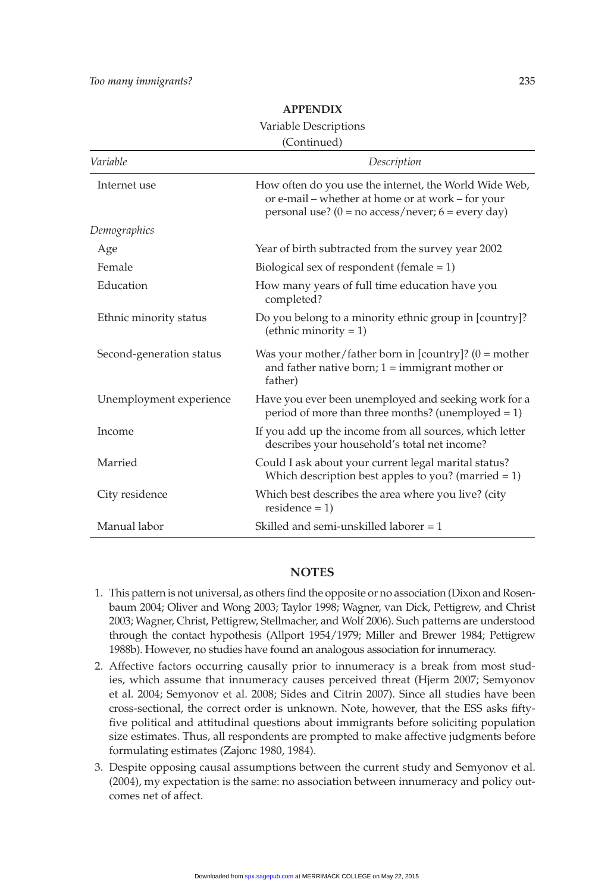| rafiavic Bescriptions<br>(Continued) |                                                                                                                                                                        |  |  |  |
|--------------------------------------|------------------------------------------------------------------------------------------------------------------------------------------------------------------------|--|--|--|
| Variable                             | Description                                                                                                                                                            |  |  |  |
| Internet use                         | How often do you use the internet, the World Wide Web,<br>or e-mail – whether at home or at work – for your<br>personal use? ( $0 = no$ access/never; $6 =$ every day) |  |  |  |
| Demographics                         |                                                                                                                                                                        |  |  |  |
| Age                                  | Year of birth subtracted from the survey year 2002                                                                                                                     |  |  |  |
| Female                               | Biological sex of respondent (female $= 1$ )                                                                                                                           |  |  |  |
| Education                            | How many years of full time education have you<br>completed?                                                                                                           |  |  |  |
| Ethnic minority status               | Do you belong to a minority ethnic group in [country]?<br>(ethnic minority $= 1$ )                                                                                     |  |  |  |
| Second-generation status             | Was your mother/father born in [country]? $(0 = \text{mother})$<br>and father native born; $1 =$ immigrant mother or<br>father)                                        |  |  |  |
| Unemployment experience              | Have you ever been unemployed and seeking work for a<br>period of more than three months? (unemployed $= 1$ )                                                          |  |  |  |
| Income                               | If you add up the income from all sources, which letter<br>describes your household's total net income?                                                                |  |  |  |
| Married                              | Could I ask about your current legal marital status?<br>Which description best apples to you? (married $= 1$ )                                                         |  |  |  |
| City residence                       | Which best describes the area where you live? (city<br>$residence = 1$                                                                                                 |  |  |  |
| Manual labor                         | Skilled and semi-unskilled laborer = 1                                                                                                                                 |  |  |  |

# **APPENDIX**

Variable Descriptions

# **NOTES**

- 1. This pattern is not universal, as others find the opposite or no association (Dixon and Rosenbaum 2004; Oliver and Wong 2003; Taylor 1998; Wagner, van Dick, Pettigrew, and Christ 2003; Wagner, Christ, Pettigrew, Stellmacher, and Wolf 2006). Such patterns are understood through the contact hypothesis (Allport 1954/1979; Miller and Brewer 1984; Pettigrew 1988b). However, no studies have found an analogous association for innumeracy.
- 2. Affective factors occurring causally prior to innumeracy is a break from most studies, which assume that innumeracy causes perceived threat (Hjerm 2007; Semyonov et al. 2004; Semyonov et al. 2008; Sides and Citrin 2007). Since all studies have been cross-sectional, the correct order is unknown. Note, however, that the ESS asks fiftyfive political and attitudinal questions about immigrants before soliciting population size estimates. Thus, all respondents are prompted to make affective judgments before formulating estimates (Zajonc 1980, 1984).
- 3. Despite opposing causal assumptions between the current study and Semyonov et al. (2004), my expectation is the same: no association between innumeracy and policy outcomes net of affect.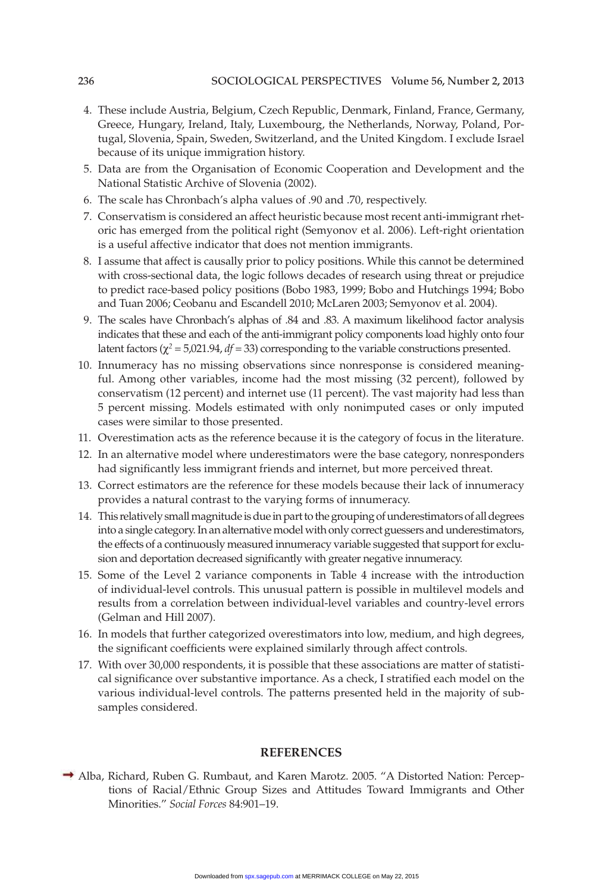- 4. These include Austria, Belgium, Czech Republic, Denmark, Finland, France, Germany, Greece, Hungary, Ireland, Italy, Luxembourg, the Netherlands, Norway, Poland, Portugal, Slovenia, Spain, Sweden, Switzerland, and the United Kingdom. I exclude Israel because of its unique immigration history.
- 5. Data are from the Organisation of Economic Cooperation and Development and the National Statistic Archive of Slovenia (2002).
- 6. The scale has Chronbach's alpha values of .90 and .70, respectively.
- 7. Conservatism is considered an affect heuristic because most recent anti-immigrant rhetoric has emerged from the political right (Semyonov et al. 2006). Left-right orientation is a useful affective indicator that does not mention immigrants.
- 8. I assume that affect is causally prior to policy positions. While this cannot be determined with cross-sectional data, the logic follows decades of research using threat or prejudice to predict race-based policy positions (Bobo 1983, 1999; Bobo and Hutchings 1994; Bobo and Tuan 2006; Ceobanu and Escandell 2010; McLaren 2003; Semyonov et al. 2004).
- 9. The scales have Chronbach's alphas of .84 and .83. A maximum likelihood factor analysis indicates that these and each of the anti-immigrant policy components load highly onto four latent factors  $(\chi^2 = 5.021.94, df = 33)$  corresponding to the variable constructions presented.
- 10. Innumeracy has no missing observations since nonresponse is considered meaningful. Among other variables, income had the most missing (32 percent), followed by conservatism (12 percent) and internet use (11 percent). The vast majority had less than 5 percent missing. Models estimated with only nonimputed cases or only imputed cases were similar to those presented.
- 11. Overestimation acts as the reference because it is the category of focus in the literature.
- 12. In an alternative model where underestimators were the base category, nonresponders had significantly less immigrant friends and internet, but more perceived threat.
- 13. Correct estimators are the reference for these models because their lack of innumeracy provides a natural contrast to the varying forms of innumeracy.
- 14. This relatively small magnitude is due in part to the grouping of underestimators of all degrees into a single category. In an alternative model with only correct guessers and underestimators, the effects of a continuously measured innumeracy variable suggested that support for exclusion and deportation decreased significantly with greater negative innumeracy.
- 15. Some of the Level 2 variance components in Table 4 increase with the introduction of individual-level controls. This unusual pattern is possible in multilevel models and results from a correlation between individual-level variables and country-level errors (Gelman and Hill 2007).
- 16. In models that further categorized overestimators into low, medium, and high degrees, the significant coefficients were explained similarly through affect controls.
- 17. With over 30,000 respondents, it is possible that these associations are matter of statistical significance over substantive importance. As a check, I stratified each model on the various individual-level controls. The patterns presented held in the majority of subsamples considered.

#### **REFERENCES**

Alba, Richard, Ruben G. Rumbaut, and Karen Marotz. 2005. "A Distorted Nation: Perceptions of Racial/Ethnic Group Sizes and Attitudes Toward Immigrants and Other Minorities." *Social Forces* 84:901–19.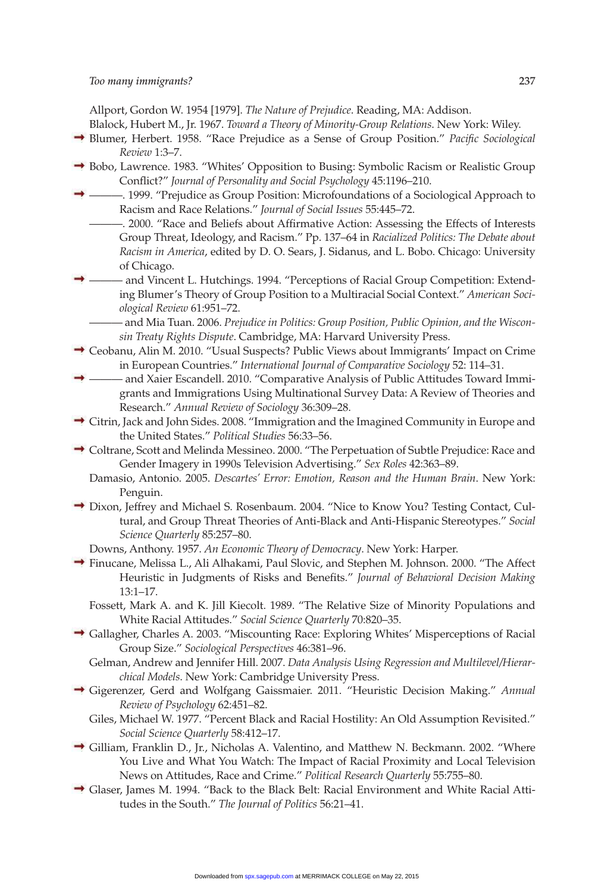Allport, Gordon W. 1954 [1979]. *The Nature of Prejudice*. Reading, MA: Addison.

Blalock, Hubert M., Jr. 1967. *Toward a Theory of Minority-Group Relations*. New York: Wiley.

- Blumer, Herbert. 1958. "Race Prejudice as a Sense of Group Position." *Pacific Sociological Review* 1:3–7.
- $\rightarrow$  Bobo, Lawrence. 1983. "Whites' Opposition to Busing: Symbolic Racism or Realistic Group Conflict?" *Journal of Personality and Social Psychology* 45:1196–210.
	- ———. 1999. "Prejudice as Group Position: Microfoundations of a Sociological Approach to Racism and Race Relations." *Journal of Social Issues* 55:445–72.
		- ———. 2000. "Race and Beliefs about Affirmative Action: Assessing the Effects of Interests Group Threat, Ideology, and Racism." Pp. 137–64 in *Racialized Politics: The Debate about Racism in America*, edited by D. O. Sears, J. Sidanus, and L. Bobo. Chicago: University of Chicago.
- ——— and Vincent L. Hutchings. 1994. "Perceptions of Racial Group Competition: Extending Blumer's Theory of Group Position to a Multiracial Social Context." *American Sociological Review* 61:951–72.
	- ——— and Mia Tuan. 2006. *Prejudice in Politics: Group Position, Public Opinion, and the Wisconsin Treaty Rights Dispute*. Cambridge, MA: Harvard University Press.
- Ceobanu, Alin M. 2010. "Usual Suspects? Public Views about Immigrants' Impact on Crime in European Countries." *International Journal of Comparative Sociology* 52: 114–31.
- and Xaier Escandell. 2010. "Comparative Analysis of Public Attitudes Toward Immigrants and Immigrations Using Multinational Survey Data: A Review of Theories and Research." *Annual Review of Sociology* 36:309–28.
- $\rightarrow$  Citrin, Jack and John Sides. 2008. "Immigration and the Imagined Community in Europe and the United States." *Political Studies* 56:33–56.
- Coltrane, Scott and Melinda Messineo. 2000. "The Perpetuation of Subtle Prejudice: Race and Gender Imagery in 1990s Television Advertising." *Sex Roles* 42:363–89.
	- Damasio, Antonio. 2005. *Descartes' Error: Emotion, Reason and the Human Brain*. New York: Penguin.
- Dixon, Jeffrey and Michael S. Rosenbaum. 2004. "Nice to Know You? Testing Contact, Cultural, and Group Threat Theories of Anti-Black and Anti-Hispanic Stereotypes." *Social Science Quarterly* 85:257–80.
	- Downs, Anthony. 1957. *An Economic Theory of Democracy*. New York: Harper.
- Finucane, Melissa L., Ali Alhakami, Paul Slovic, and Stephen M. Johnson. 2000. "The Affect Heuristic in Judgments of Risks and Benefits." *Journal of Behavioral Decision Making* 13:1–17.
	- Fossett, Mark A. and K. Jill Kiecolt. 1989. "The Relative Size of Minority Populations and White Racial Attitudes." *Social Science Quarterly* 70:820–35.
- Gallagher, Charles A. 2003. "Miscounting Race: Exploring Whites' Misperceptions of Racial Group Size." *Sociological Perspectives* 46:381–96.
	- Gelman, Andrew and Jennifer Hill. 2007. *Data Analysis Using Regression and Multilevel/Hierarchical Models*. New York: Cambridge University Press.
- Gigerenzer, Gerd and Wolfgang Gaissmaier. 2011. "Heuristic Decision Making." *Annual Review of Psychology* 62:451–82.
	- Giles, Michael W. 1977. "Percent Black and Racial Hostility: An Old Assumption Revisited." *Social Science Quarterly* 58:412–17.
- Gilliam, Franklin D., Jr., Nicholas A. Valentino, and Matthew N. Beckmann. 2002. "Where You Live and What You Watch: The Impact of Racial Proximity and Local Television News on Attitudes, Race and Crime." *Political Research Quarterly* 55:755–80.
- Glaser, James M. 1994. "Back to the Black Belt: Racial Environment and White Racial Attitudes in the South." *The Journal of Politics* 56:21–41.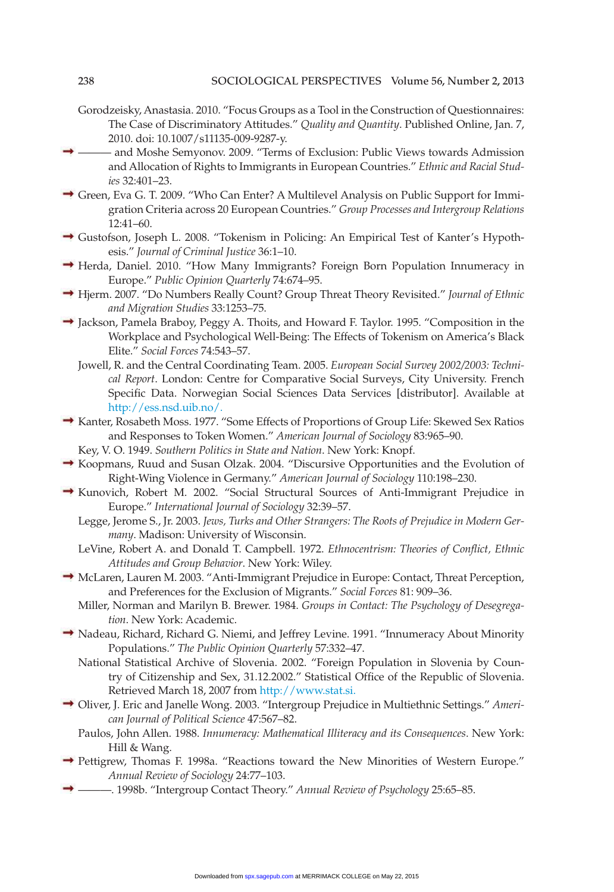- Gorodzeisky, Anastasia. 2010. "Focus Groups as a Tool in the Construction of Questionnaires: The Case of Discriminatory Attitudes." *Quality and Quantity*. Published Online, Jan. 7, 2010. doi: 10.1007/s11135-009-9287-y.
- ——— and Moshe Semyonov. 2009. "Terms of Exclusion: Public Views towards Admission and Allocation of Rights to Immigrants in European Countries." *Ethnic and Racial Studies* 32:401–23.
- Green, Eva G. T. 2009. "Who Can Enter? A Multilevel Analysis on Public Support for Immigration Criteria across 20 European Countries." *Group Processes and Intergroup Relations* 12:41–60.
- Gustofson, Joseph L. 2008. "Tokenism in Policing: An Empirical Test of Kanter's Hypothesis." *Journal of Criminal Justice* 36:1–10.
- $\rightarrow$  Herda, Daniel. 2010. "How Many Immigrants? Foreign Born Population Innumeracy in Europe." *Public Opinion Quarterly* 74:674–95.
- Hjerm. 2007. "Do Numbers Really Count? Group Threat Theory Revisited." *Journal of Ethnic and Migration Studies* 33:1253–75.
- $\rightarrow$  Jackson, Pamela Braboy, Peggy A. Thoits, and Howard F. Taylor. 1995. "Composition in the Workplace and Psychological Well-Being: The Effects of Tokenism on America's Black Elite." *Social Forces* 74:543–57.
	- Jowell, R. and the Central Coordinating Team. 2005. *European Social Survey 2002/2003: Technical Report*. London: Centre for Comparative Social Surveys, City University. French Specific Data. Norwegian Social Sciences Data Services [distributor]. Available at <http://ess.nsd.uib.no/.>
- Kanter, Rosabeth Moss. 1977. "Some Effects of Proportions of Group Life: Skewed Sex Ratios and Responses to Token Women." *American Journal of Sociology* 83:965–90.
	- Key, V. O. 1949. *Southern Politics in State and Nation*. New York: Knopf.
- Koopmans, Ruud and Susan Olzak. 2004. "Discursive Opportunities and the Evolution of Right-Wing Violence in Germany." *American Journal of Sociology* 110:198–230.
- Kunovich, Robert M. 2002. "Social Structural Sources of Anti-Immigrant Prejudice in Europe." *International Journal of Sociology* 32:39–57.
	- Legge, Jerome S., Jr. 2003. *Jews, Turks and Other Strangers: The Roots of Prejudice in Modern Germany*. Madison: University of Wisconsin.
	- LeVine, Robert A. and Donald T. Campbell. 1972. *Ethnocentrism: Theories of Conflict, Ethnic Attitudes and Group Behavior*. New York: Wiley.
- $\rightarrow$  McLaren, Lauren M. 2003. "Anti-Immigrant Prejudice in Europe: Contact, Threat Perception, and Preferences for the Exclusion of Migrants." *Social Forces* 81: 909–36.
	- Miller, Norman and Marilyn B. Brewer. 1984. *Groups in Contact: The Psychology of Desegregation*. New York: Academic.
- → Nadeau, Richard, Richard G. Niemi, and Jeffrey Levine. 1991. "Innumeracy About Minority Populations." *The Public Opinion Quarterly* 57:332–47.
	- National Statistical Archive of Slovenia. 2002. "Foreign Population in Slovenia by Country of Citizenship and Sex, 31.12.2002." Statistical Office of the Republic of Slovenia. Retrieved March 18, 2007 from <http://www.stat.si.>
- Oliver, J. Eric and Janelle Wong. 2003. "Intergroup Prejudice in Multiethnic Settings." *American Journal of Political Science* 47:567–82.
	- Paulos, John Allen. 1988. *Innumeracy: Mathematical Illiteracy and its Consequences*. New York: Hill & Wang.
- Pettigrew, Thomas F. 1998a. "Reactions toward the New Minorities of Western Europe." *Annual Review of Sociology* 24:77–103.
- ———. 1998b. "Intergroup Contact Theory." *Annual Review of Psychology* 25:65–85.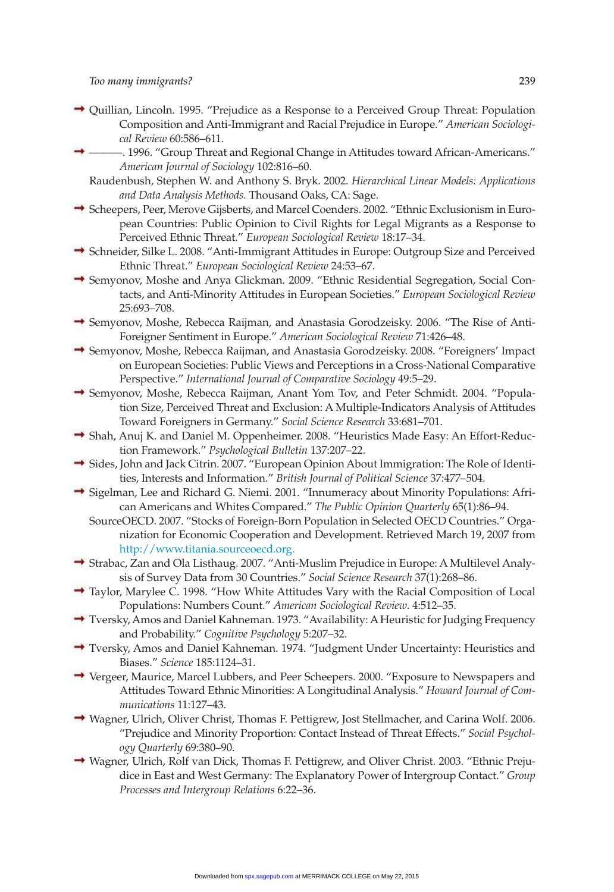- Quillian, Lincoln. 1995. "Prejudice as a Response to a Perceived Group Threat: Population Composition and Anti-Immigrant and Racial Prejudice in Europe." *American Sociological Review* 60:586–611.
- ———. 1996. "Group Threat and Regional Change in Attitudes toward African-Americans." *American Journal of Sociology* 102:816–60.
	- Raudenbush, Stephen W. and Anthony S. Bryk. 2002. *Hierarchical Linear Models: Applications and Data Analysis Methods.* Thousand Oaks, CA: Sage.
- $\rightarrow$  Scheepers, Peer, Merove Gijsberts, and Marcel Coenders. 2002. "Ethnic Exclusionism in European Countries: Public Opinion to Civil Rights for Legal Migrants as a Response to Perceived Ethnic Threat." *European Sociological Review* 18:17–34.
- $\rightarrow$  Schneider, Silke L. 2008. "Anti-Immigrant Attitudes in Europe: Outgroup Size and Perceived Ethnic Threat." *European Sociological Review* 24:53–67.
- Semyonov, Moshe and Anya Glickman. 2009. "Ethnic Residential Segregation, Social Contacts, and Anti-Minority Attitudes in European Societies." *European Sociological Review* 25:693–708.
- Semyonov, Moshe, Rebecca Raijman, and Anastasia Gorodzeisky. 2006. "The Rise of Anti-Foreigner Sentiment in Europe." *American Sociological Review* 71:426–48.
- Semyonov, Moshe, Rebecca Raijman, and Anastasia Gorodzeisky. 2008. "Foreigners' Impact on European Societies: Public Views and Perceptions in a Cross-National Comparative Perspective." *International Journal of Comparative Sociology* 49:5–29.
- Semyonov, Moshe, Rebecca Raijman, Anant Yom Tov, and Peter Schmidt. 2004. "Population Size, Perceived Threat and Exclusion: A Multiple-Indicators Analysis of Attitudes Toward Foreigners in Germany." *Social Science Research* 33:681–701.
- Shah, Anuj K. and Daniel M. Oppenheimer. 2008. "Heuristics Made Easy: An Effort-Reduction Framework." *Psychological Bulletin* 137:207–22.
- Sides, John and Jack Citrin. 2007. "European Opinion About Immigration: The Role of Identities, Interests and Information." *British Journal of Political Science* 37:477–504.
- Sigelman, Lee and Richard G. Niemi. 2001. "Innumeracy about Minority Populations: African Americans and Whites Compared." *The Public Opinion Quarterly* 65(1):86–94.
	- SourceOECD. 2007. "Stocks of Foreign-Born Population in Selected OECD Countries." Organization for Economic Cooperation and Development. Retrieved March 19, 2007 from <http://www.titania.sourceoecd.org.>
- Strabac, Zan and Ola Listhaug. 2007. "Anti-Muslim Prejudice in Europe: A Multilevel Analysis of Survey Data from 30 Countries." *Social Science Research* 37(1):268–86.
- → Taylor, Marylee C. 1998. "How White Attitudes Vary with the Racial Composition of Local Populations: Numbers Count." *American Sociological Review*. 4:512–35.
- → Tversky, Amos and Daniel Kahneman. 1973. "Availability: A Heuristic for Judging Frequency and Probability." *Cognitive Psychology* 5:207–32.
- Tversky, Amos and Daniel Kahneman. 1974. "Judgment Under Uncertainty: Heuristics and Biases." *Science* 185:1124–31.
- Vergeer, Maurice, Marcel Lubbers, and Peer Scheepers. 2000. "Exposure to Newspapers and Attitudes Toward Ethnic Minorities: A Longitudinal Analysis." *Howard Journal of Communications* 11:127–43.
- Wagner, Ulrich, Oliver Christ, Thomas F. Pettigrew, Jost Stellmacher, and Carina Wolf. 2006. "Prejudice and Minority Proportion: Contact Instead of Threat Effects." *Social Psychology Quarterly* 69:380–90.
- Wagner, Ulrich, Rolf van Dick, Thomas F. Pettigrew, and Oliver Christ. 2003. "Ethnic Prejudice in East and West Germany: The Explanatory Power of Intergroup Contact." *Group Processes and Intergroup Relations* 6:22–36.